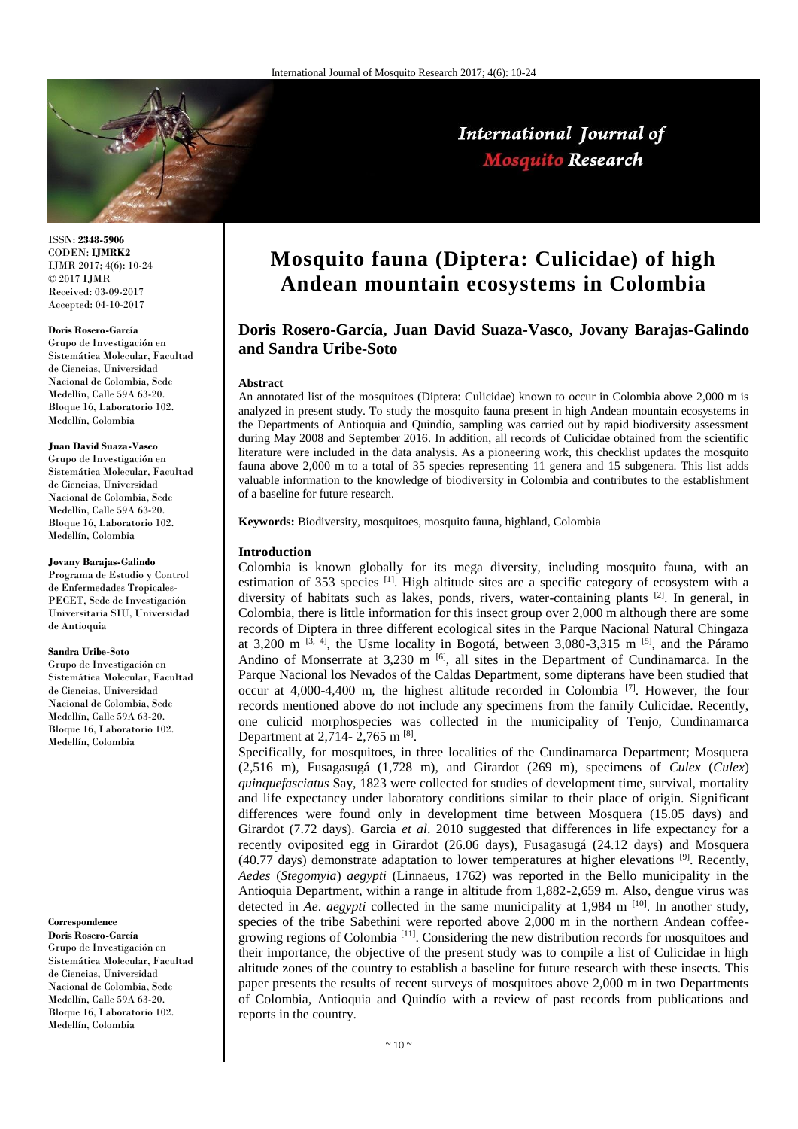

#### ISSN: **2348-5906** CODEN: **IJMRK2** IJMR 2017; 4(6): 10-24 © 2017 IJMR Received: 03-09-2017 Accepted: 04-10-2017

#### **Doris Rosero-García**

Grupo de Investigación en Sistemática Molecular, Facultad de Ciencias, Universidad Nacional de Colombia, Sede Medellín, Calle 59A 63-20. Bloque 16, Laboratorio 102. Medellín, Colombia

## **Juan David Suaza-Vasco**

Grupo de Investigación en Sistemática Molecular, Facultad de Ciencias, Universidad Nacional de Colombia, Sede Medellín, Calle 59A 63-20. Bloque 16, Laboratorio 102. Medellín, Colombia

### **Jovany Barajas-Galindo**

Programa de Estudio y Control de Enfermedades Tropicales-PECET, Sede de Investigación Universitaria SIU, Universidad de Antioquia

#### **Sandra Uribe-Soto**

Grupo de Investigación en Sistemática Molecular, Facultad de Ciencias, Universidad Nacional de Colombia, Sede Medellín, Calle 59A 63-20. Bloque 16, Laboratorio 102. Medellín, Colombia

# **Correspondence**

**Doris Rosero-García** Grupo de Investigación en Sistemática Molecular, Facultad de Ciencias, Universidad Nacional de Colombia, Sede Medellín, Calle 59A 63-20. Bloque 16, Laboratorio 102. Medellín, Colombia

# **Mosquito fauna (Diptera: Culicidae) of high Andean mountain ecosystems in Colombia**

International Journal of **Mosquito Research** 

# **Doris Rosero-García, Juan David Suaza-Vasco, Jovany Barajas-Galindo and Sandra Uribe-Soto**

## **Abstract**

An annotated list of the mosquitoes (Diptera: Culicidae) known to occur in Colombia above 2,000 m is analyzed in present study. To study the mosquito fauna present in high Andean mountain ecosystems in the Departments of Antioquia and Quindío, sampling was carried out by rapid biodiversity assessment during May 2008 and September 2016. In addition, all records of Culicidae obtained from the scientific literature were included in the data analysis. As a pioneering work, this checklist updates the mosquito fauna above 2,000 m to a total of 35 species representing 11 genera and 15 subgenera. This list adds valuable information to the knowledge of biodiversity in Colombia and contributes to the establishment of a baseline for future research.

**Keywords:** Biodiversity, mosquitoes, mosquito fauna, highland, Colombia

## **Introduction**

Colombia is known globally for its mega diversity, including mosquito fauna, with an estimation of 353 species  $\left[1\right]$ . High altitude sites are a specific category of ecosystem with a diversity of habitats such as lakes, ponds, rivers, water-containing plants  $[2]$ . In general, in Colombia, there is little information for this insect group over 2,000 m although there are some records of Diptera in three different ecological sites in the Parque Nacional Natural Chingaza at 3,200 m  $^{[3, 4]}$ , the Usme locality in Bogotá, between 3,080-3,315 m  $^{[5]}$ , and the Páramo Andino of Monserrate at  $3,230 \text{ m}$  [6], all sites in the Department of Cundinamarca. In the Parque Nacional los Nevados of the Caldas Department, some dipterans have been studied that occur at  $4,000-4,400$  m, the highest altitude recorded in Colombia  $^{[7]}$ . However, the four records mentioned above do not include any specimens from the family Culicidae. Recently, one culicid morphospecies was collected in the municipality of Tenjo, Cundinamarca Department at 2,714- 2,765 m  $^{[8]}$ .

Specifically, for mosquitoes, in three localities of the Cundinamarca Department; Mosquera (2,516 m), Fusagasugá (1,728 m), and Girardot (269 m), specimens of *Culex* (*Culex*) *quinquefasciatus* Say, 1823 were collected for studies of development time, survival, mortality and life expectancy under laboratory conditions similar to their place of origin. Significant differences were found only in development time between Mosquera (15.05 days) and Girardot (7.72 days). Garcia *et al*. 2010 suggested that differences in life expectancy for a recently oviposited egg in Girardot (26.06 days), Fusagasugá (24.12 days) and Mosquera (40.77 days) demonstrate adaptation to lower temperatures at higher elevations  $[9]$ . Recently, *Aedes* (*Stegomyia*) *aegypti* (Linnaeus, 1762) was reported in the Bello municipality in the Antioquia Department, within a range in altitude from 1,882-2,659 m. Also, dengue virus was detected in *Ae. aegypti* collected in the same municipality at 1,984 m<sup>[10]</sup>. In another study, species of the tribe Sabethini were reported above 2,000 m in the northern Andean coffeegrowing regions of Colombia [11]. Considering the new distribution records for mosquitoes and their importance, the objective of the present study was to compile a list of Culicidae in high altitude zones of the country to establish a baseline for future research with these insects. This paper presents the results of recent surveys of mosquitoes above 2,000 m in two Departments of Colombia, Antioquia and Quindío with a review of past records from publications and reports in the country.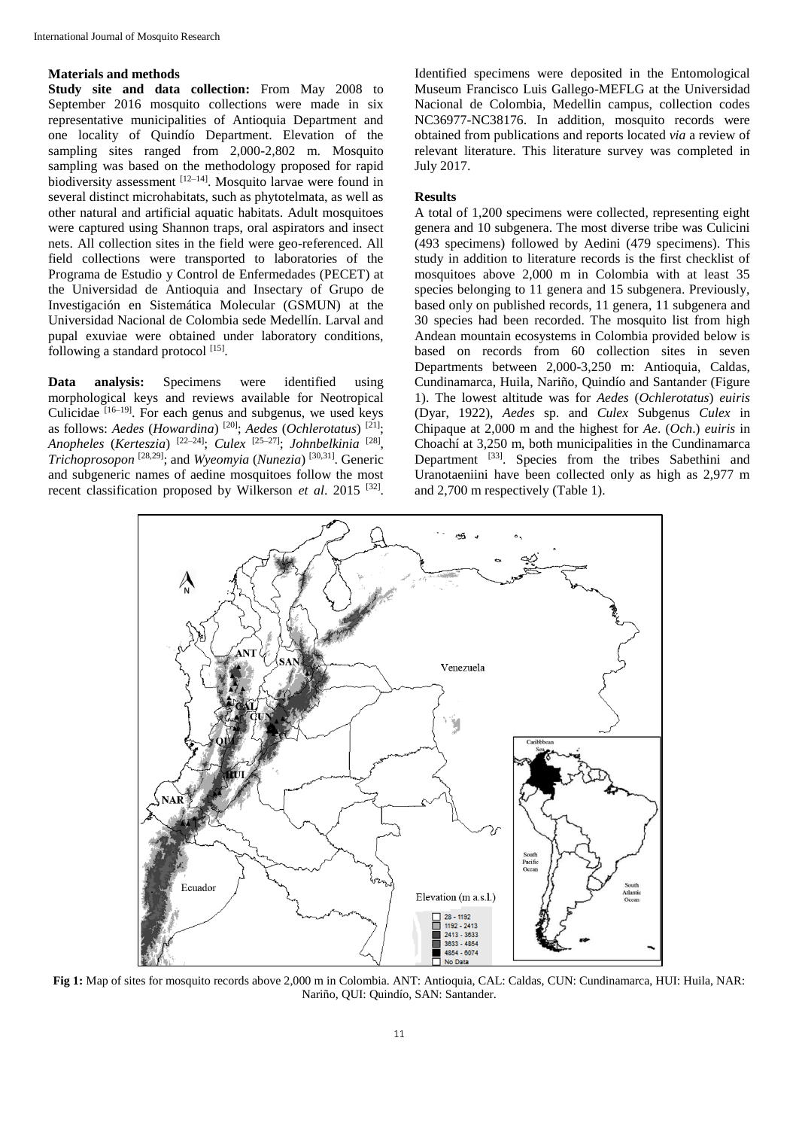# **Materials and methods**

**Study site and data collection:** From May 2008 to September 2016 mosquito collections were made in six representative municipalities of Antioquia Department and one locality of Quindío Department. Elevation of the sampling sites ranged from 2,000-2,802 m. Mosquito sampling was based on the methodology proposed for rapid biodiversity assessment [12-14]. Mosquito larvae were found in several distinct microhabitats, such as phytotelmata, as well as other natural and artificial aquatic habitats. Adult mosquitoes were captured using Shannon traps, oral aspirators and insect nets. All collection sites in the field were geo-referenced. All field collections were transported to laboratories of the Programa de Estudio y Control de Enfermedades (PECET) at the Universidad de Antioquia and Insectary of Grupo de Investigación en Sistemática Molecular (GSMUN) at the Universidad Nacional de Colombia sede Medellín. Larval and pupal exuviae were obtained under laboratory conditions, following a standard protocol [15].

**Data analysis:** Specimens were identified using morphological keys and reviews available for Neotropical Culicidae [16–19]. For each genus and subgenus, we used keys as follows: *Aedes* (*Howardina*) [20]; *Aedes* (*Ochlerotatus*) [21]; *Anopheles* (*Kerteszia*) [22–24]; *Culex* [25–27]; *Johnbelkinia* [28] , *Trichoprosopon* [28,29]; and *Wyeomyia* (*Nunezia*) [30,31]. Generic and subgeneric names of aedine mosquitoes follow the most recent classification proposed by Wilkerson et al. 2015<sup>[32]</sup>.

Identified specimens were deposited in the Entomological Museum Francisco Luis Gallego-MEFLG at the Universidad Nacional de Colombia, Medellin campus, collection codes NC36977-NC38176. In addition, mosquito records were obtained from publications and reports located *via* a review of relevant literature. This literature survey was completed in July 2017.

## **Results**

A total of 1,200 specimens were collected, representing eight genera and 10 subgenera. The most diverse tribe was Culicini (493 specimens) followed by Aedini (479 specimens). This study in addition to literature records is the first checklist of mosquitoes above 2,000 m in Colombia with at least 35 species belonging to 11 genera and 15 subgenera. Previously, based only on published records, 11 genera, 11 subgenera and 30 species had been recorded. The mosquito list from high Andean mountain ecosystems in Colombia provided below is based on records from 60 collection sites in seven Departments between 2,000-3,250 m: Antioquia, Caldas, Cundinamarca, Huila, Nariño, Quindío and Santander (Figure 1). The lowest altitude was for *Aedes* (*Ochlerotatus*) *euiris*  (Dyar, 1922), *Aedes* sp. and *Culex* Subgenus *Culex* in Chipaque at 2,000 m and the highest for *Ae*. (*Och*.) *euiris* in Choachí at 3,250 m, both municipalities in the Cundinamarca Department <sup>[33]</sup>. Species from the tribes Sabethini and Uranotaeniini have been collected only as high as 2,977 m and 2,700 m respectively (Table 1).



**Fig 1:** Map of sites for mosquito records above 2,000 m in Colombia. ANT: Antioquia, CAL: Caldas, CUN: Cundinamarca, HUI: Huila, NAR: Nariño, QUI: Quindío, SAN: Santander.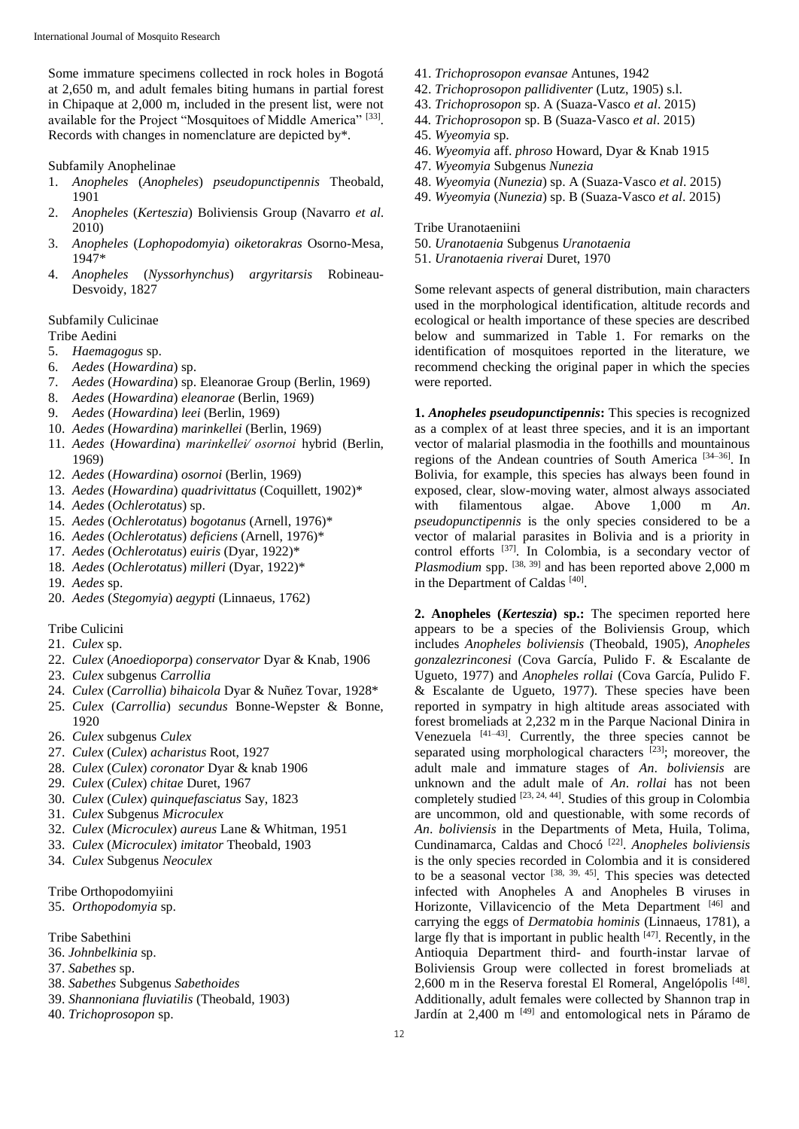Some immature specimens collected in rock holes in Bogotá at 2,650 m, and adult females biting humans in partial forest in Chipaque at 2,000 m, included in the present list, were not available for the Project "Mosquitoes of Middle America" [33]. Records with changes in nomenclature are depicted by\*.

Subfamily Anophelinae

- 1. *Anopheles* (*Anopheles*) *pseudopunctipennis* Theobald, 1901
- 2. *Anopheles* (*Kerteszia*) Boliviensis Group (Navarro *et al*. 2010)
- 3. *Anopheles* (*Lophopodomyia*) *oiketorakras* Osorno-Mesa, 1947\*
- 4. *Anopheles* (*Nyssorhynchus*) *argyritarsis* Robineau-Desvoidy, 1827

# Subfamily Culicinae

# Tribe Aedini

- 5. *Haemagogus* sp.
- 6. *Aedes* (*Howardina*) sp.
- 7. *Aedes* (*Howardina*) sp. Eleanorae Group (Berlin, 1969)
- 8. *Aedes* (*Howardina*) *eleanorae* (Berlin, 1969)
- 9. *Aedes* (*Howardina*) *leei* (Berlin, 1969)
- 10. *Aedes* (*Howardina*) *marinkellei* (Berlin, 1969)
- 11. *Aedes* (*Howardina*) *marinkellei∕ osornoi* hybrid (Berlin, 1969)
- 12. *Aedes* (*Howardina*) *osornoi* (Berlin, 1969)
- 13. *Aedes* (*Howardina*) *quadrivittatus* (Coquillett, 1902)\*
- 14. *Aedes* (*Ochlerotatus*) sp.
- 15. *Aedes* (*Ochlerotatus*) *bogotanus* (Arnell, 1976)\*
- 16. *Aedes* (*Ochlerotatus*) *deficiens* (Arnell, 1976)\*
- 17. *Aedes* (*Ochlerotatus*) *euiris* (Dyar, 1922)\*
- 18. *Aedes* (*Ochlerotatus*) *milleri* (Dyar, 1922)\*
- 19. *Aedes* sp.
- 20. *Aedes* (*Stegomyia*) *aegypti* (Linnaeus, 1762)

# Tribe Culicini

- 21. *Culex* sp.
- 22. *Culex* (*Anoedioporpa*) *conservator* Dyar & Knab, 1906
- 23. *Culex* subgenus *Carrollia*
- 24. *Culex* (*Carrollia*) *bihaicola* Dyar & Nuñez Tovar, 1928\*
- 25. *Culex* (*Carrollia*) *secundus* Bonne-Wepster & Bonne, 1920
- 26. *Culex* subgenus *Culex*
- 27. *Culex* (*Culex*) *acharistus* Root, 1927
- 28. *Culex* (*Culex*) *coronator* Dyar & knab 1906
- 29. *Culex* (*Culex*) *chitae* Duret, 1967
- 30. *Culex* (*Culex*) *quinquefasciatus* Say, 1823
- 31. *Culex* Subgenus *Microculex*
- 32. *Culex* (*Microculex*) *aureus* Lane & Whitman, 1951
- 33. *Culex* (*Microculex*) *imitator* Theobald, 1903
- 34. *Culex* Subgenus *Neoculex*

Tribe Orthopodomyiini

35. *Orthopodomyia* sp.

Tribe Sabethini

- 36. *Johnbelkinia* sp.
- 37. *Sabethes* sp.
- 38. *Sabethes* Subgenus *Sabethoides*
- 39. *Shannoniana fluviatilis* (Theobald, 1903)
- 40. *Trichoprosopon* sp.
- 41. *Trichoprosopon evansae* Antunes, 1942
- 42. *Trichoprosopon pallidiventer* (Lutz, 1905) s.l.
- 43. *Trichoprosopon* sp. A (Suaza-Vasco *et al*. 2015)
- 44*. Trichoprosopon* sp. B (Suaza-Vasco *et al*. 2015)
- 45. *Wyeomyia* sp.
- 46. *Wyeomyia* aff. *phroso* Howard, Dyar & Knab 1915
- 47. *Wyeomyia* Subgenus *Nunezia*
- 48. *Wyeomyia* (*Nunezia*) sp. A (Suaza-Vasco *et al*. 2015)
- 49. *Wyeomyia* (*Nunezia*) sp. B (Suaza-Vasco *et al*. 2015)

Tribe Uranotaeniini

- 50. *Uranotaenia* Subgenus *Uranotaenia*
- 51. *Uranotaenia riverai* Duret, 1970

Some relevant aspects of general distribution, main characters used in the morphological identification, altitude records and ecological or health importance of these species are described below and summarized in Table 1. For remarks on the identification of mosquitoes reported in the literature, we recommend checking the original paper in which the species were reported.

**1.** *Anopheles pseudopunctipennis***:** This species is recognized as a complex of at least three species, and it is an important vector of malarial plasmodia in the foothills and mountainous regions of the Andean countries of South America [34–36]. In Bolivia, for example, this species has always been found in exposed, clear, slow-moving water, almost always associated with filamentous algae. Above 1,000 m *An*. *pseudopunctipennis* is the only species considered to be a vector of malarial parasites in Bolivia and is a priority in control efforts [37]. In Colombia, is a secondary vector of *Plasmodium* spp. <sup>[38, 39]</sup> and has been reported above 2,000 m in the Department of Caldas<sup>[40]</sup>.

**2. Anopheles (***Kerteszia***) sp.:** The specimen reported here appears to be a species of the Boliviensis Group, which includes *Anopheles boliviensis* (Theobald, 1905), *Anopheles gonzalezrinconesi* (Cova García, Pulido F. & Escalante de Ugueto, 1977) and *Anopheles rollai* (Cova García, Pulido F. & Escalante de Ugueto, 1977). These species have been reported in sympatry in high altitude areas associated with forest bromeliads at 2,232 m in the Parque Nacional Dinira in Venezuela [41–43]. Currently, the three species cannot be separated using morphological characters <sup>[23]</sup>; moreover, the adult male and immature stages of *An*. *boliviensis* are unknown and the adult male of *An*. *rollai* has not been completely studied [23, 24, 44]. Studies of this group in Colombia are uncommon, old and questionable, with some records of *An*. *boliviensis* in the Departments of Meta, Huila, Tolima, Cundinamarca, Caldas and Chocó [22] . *Anopheles boliviensis*  is the only species recorded in Colombia and it is considered to be a seasonal vector  $[38, 39, 45]$ . This species was detected infected with Anopheles A and Anopheles B viruses in Horizonte, Villavicencio of the Meta Department [46] and carrying the eggs of *Dermatobia hominis* (Linnaeus, 1781), a large fly that is important in public health  $[47]$ . Recently, in the Antioquia Department third- and fourth-instar larvae of Boliviensis Group were collected in forest bromeliads at 2,600 m in the Reserva forestal El Romeral, Angelópolis<sup>[48]</sup>. Additionally, adult females were collected by Shannon trap in Jardín at 2,400 m [49] and entomological nets in Páramo de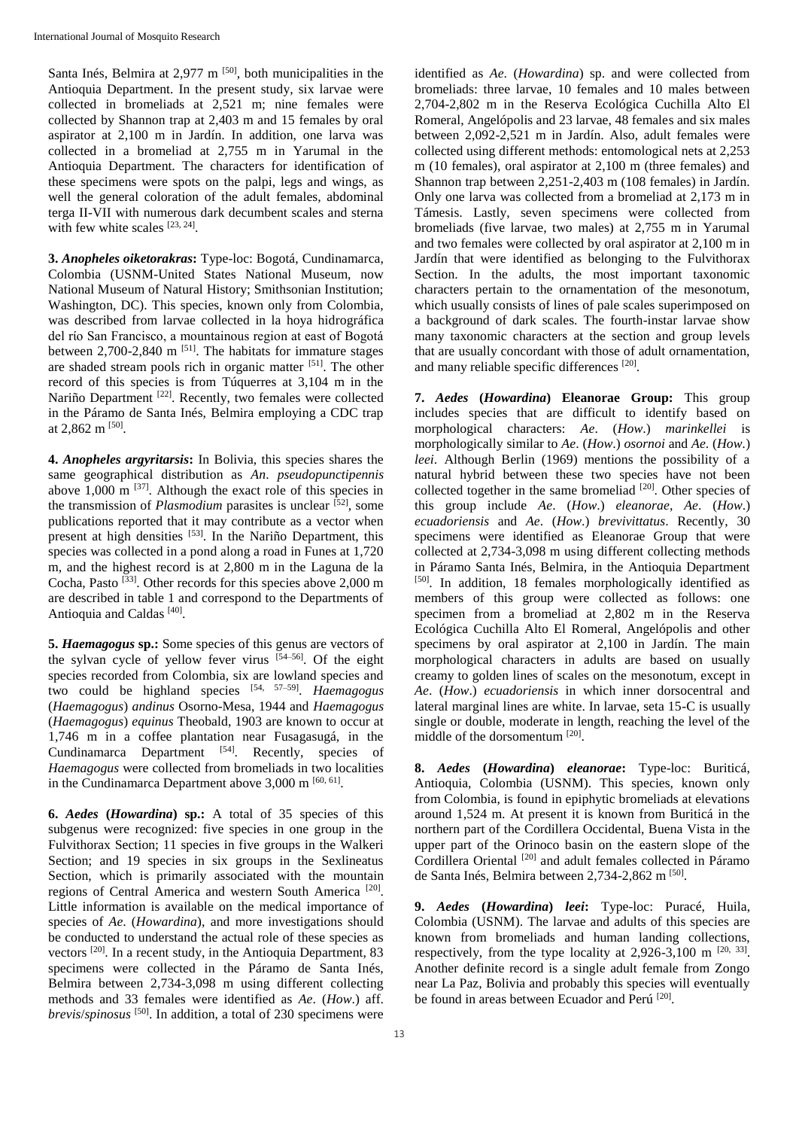Santa Inés, Belmira at 2,977 m <sup>[50]</sup>, both municipalities in the Antioquia Department. In the present study, six larvae were collected in bromeliads at 2,521 m; nine females were collected by Shannon trap at 2,403 m and 15 females by oral aspirator at 2,100 m in Jardín. In addition, one larva was collected in a bromeliad at 2,755 m in Yarumal in the Antioquia Department. The characters for identification of these specimens were spots on the palpi, legs and wings, as well the general coloration of the adult females, abdominal terga II-VII with numerous dark decumbent scales and sterna with few white scales  $[23, 24]$ .

**3.** *Anopheles oiketorakras***:** Type-loc: Bogotá, Cundinamarca, Colombia (USNM-United States National Museum, now National Museum of Natural History; Smithsonian Institution; Washington, DC). This species, known only from Colombia, was described from larvae collected in la hoya hidrográfica del rίo San Francisco, a mountainous region at east of Bogotá between 2,700-2,840 m <sup>[51]</sup>. The habitats for immature stages are shaded stream pools rich in organic matter [51]. The other record of this species is from Túquerres at 3,104 m in the Nariño Department <a>[22]</a>. Recently, two females were collected in the Páramo de Santa Inés, Belmira employing a CDC trap at 2,862 m  $^{[50]}$ .

**4.** *Anopheles argyritarsis***:** In Bolivia, this species shares the same geographical distribution as *An*. *pseudopunctipennis* above  $1,000 \text{ m}$ <sup>[37]</sup>. Although the exact role of this species in the transmission of *Plasmodium* parasites is unclear <sup>[52]</sup>, some publications reported that it may contribute as a vector when present at high densities  $[53]$ . In the Nariño Department, this species was collected in a pond along a road in Funes at 1,720 m, and the highest record is at 2,800 m in the Laguna de la Cocha, Pasto<sup>[33]</sup>. Other records for this species above 2,000 m are described in table 1 and correspond to the Departments of Antioquia and Caldas<sup>[40]</sup>.

**5.** *Haemagogus* **sp.:** Some species of this genus are vectors of the sylvan cycle of yellow fever virus  $[54-56]$ . Of the eight species recorded from Colombia, six are lowland species and two could be highland species [54, 57–59] . *Haemagogus*  (*Haemagogus*) *andinus* Osorno-Mesa, 1944 and *Haemagogus*  (*Haemagogus*) *equinus* Theobald, 1903 are known to occur at 1,746 m in a coffee plantation near Fusagasugá, in the Cundinamarca Department [54]. Recently, species of *Haemagogus* were collected from bromeliads in two localities in the Cundinamarca Department above  $3,000$  m  $[60, 61]$ .

**6.** *Aedes* **(***Howardina***) sp.:** A total of 35 species of this subgenus were recognized: five species in one group in the Fulvithorax Section; 11 species in five groups in the Walkeri Section; and 19 species in six groups in the Sexlineatus Section, which is primarily associated with the mountain regions of Central America and western South America<sup>[20]</sup>. Little information is available on the medical importance of species of *Ae*. (*Howardina*), and more investigations should be conducted to understand the actual role of these species as vectors [20]. In a recent study, in the Antioquia Department, 83 specimens were collected in the Páramo de Santa Inés, Belmira between 2,734-3,098 m using different collecting methods and 33 females were identified as *Ae*. (*How*.) aff. *brevis*/*spinosus* [50]. In addition, a total of 230 specimens were

identified as *Ae*. (*Howardina*) sp. and were collected from bromeliads: three larvae, 10 females and 10 males between 2,704-2,802 m in the Reserva Ecológica Cuchilla Alto El Romeral, Angelópolis and 23 larvae, 48 females and six males between 2,092-2,521 m in Jardín. Also, adult females were collected using different methods: entomological nets at 2,253 m (10 females), oral aspirator at 2,100 m (three females) and Shannon trap between 2,251-2,403 m (108 females) in Jardín. Only one larva was collected from a bromeliad at 2,173 m in Támesis. Lastly, seven specimens were collected from bromeliads (five larvae, two males) at 2,755 m in Yarumal and two females were collected by oral aspirator at 2,100 m in Jardín that were identified as belonging to the Fulvithorax Section. In the adults, the most important taxonomic characters pertain to the ornamentation of the mesonotum, which usually consists of lines of pale scales superimposed on a background of dark scales. The fourth-instar larvae show many taxonomic characters at the section and group levels that are usually concordant with those of adult ornamentation, and many reliable specific differences<sup>[20]</sup>.

**7.** *Aedes* **(***Howardina***) Eleanorae Group:** This group includes species that are difficult to identify based on morphological characters: *Ae*. (*How*.) *marinkellei* is morphologically similar to *Ae*. (*How*.) *osornoi* and *Ae*. (*How.*) *leei*. Although Berlin (1969) mentions the possibility of a natural hybrid between these two species have not been collected together in the same bromeliad [20]. Other species of this group include *Ae*. (*How*.) *eleanorae*, *Ae*. (*How*.) *ecuadoriensis* and *Ae*. (*How*.) *brevivittatus*. Recently, 30 specimens were identified as Eleanorae Group that were collected at 2,734-3,098 m using different collecting methods in Páramo Santa Inés, Belmira, in the Antioquia Department [50]. In addition, 18 females morphologically identified as members of this group were collected as follows: one specimen from a bromeliad at 2,802 m in the Reserva Ecológica Cuchilla Alto El Romeral, Angelópolis and other specimens by oral aspirator at 2,100 in Jardín. The main morphological characters in adults are based on usually creamy to golden lines of scales on the mesonotum, except in *Ae*. (*How*.) *ecuadoriensis* in which inner dorsocentral and lateral marginal lines are white. In larvae, seta 15-C is usually single or double, moderate in length, reaching the level of the middle of the dorsomentum [20].

**8.** *Aedes* **(***Howardina***)** *eleanorae***:** Type-loc: Buriticá, Antioquia, Colombia (USNM). This species, known only from Colombia, is found in epiphytic bromeliads at elevations around 1,524 m. At present it is known from Buriticá in the northern part of the Cordillera Occidental, Buena Vista in the upper part of the Orinoco basin on the eastern slope of the Cordillera Oriental <sup>[20]</sup> and adult females collected in Páramo de Santa Inés, Belmira between 2,734-2,862 m [50].

**9.** *Aedes* **(***Howardina***)** *leei***:** Type-loc: Puracé, Huila, Colombia (USNM). The larvae and adults of this species are known from bromeliads and human landing collections, respectively, from the type locality at  $2,926-3,100$  m  $^{[20, 33]}$ . Another definite record is a single adult female from Zongo near La Paz, Bolivia and probably this species will eventually be found in areas between Ecuador and Perú<sup>[20]</sup>.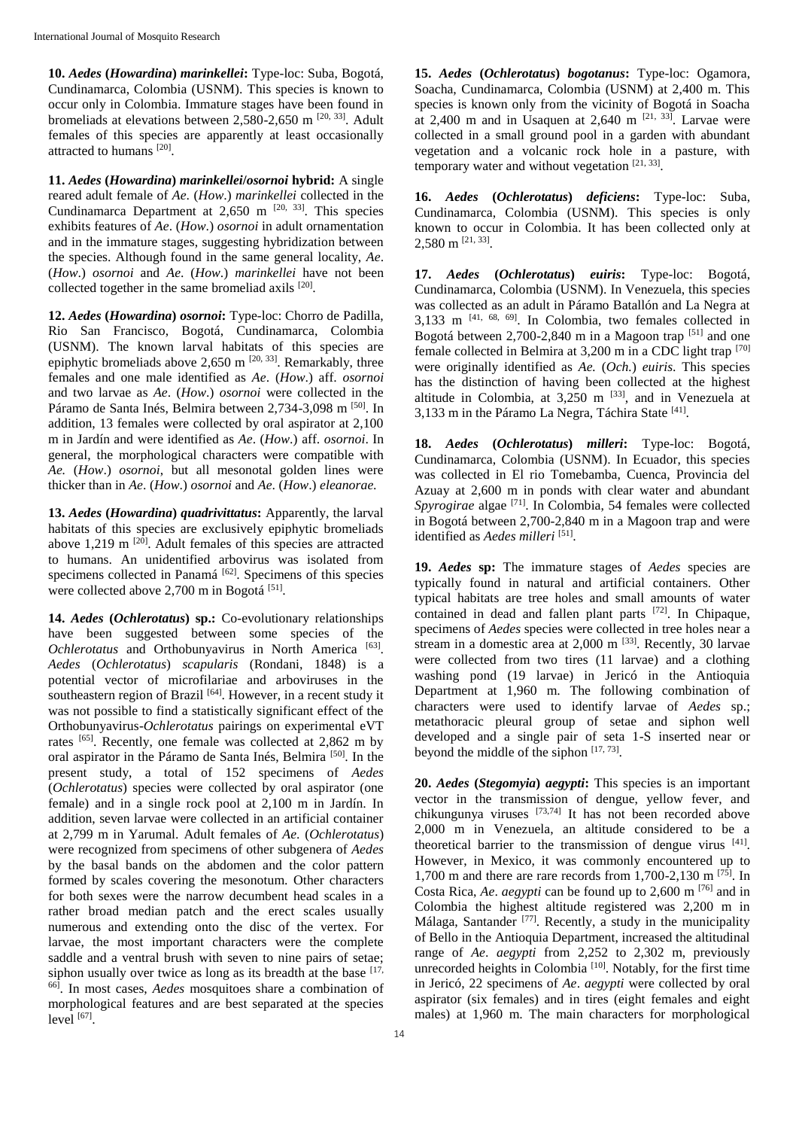**10.** *Aedes* **(***Howardina***)** *marinkellei***:** Type-loc: Suba, Bogotá, Cundinamarca, Colombia (USNM). This species is known to occur only in Colombia. Immature stages have been found in bromeliads at elevations between 2,580-2,650 m  $^{[20, 33]}$ . Adult females of this species are apparently at least occasionally attracted to humans [20].

**11.** *Aedes* **(***Howardina***)** *marinkellei***/***osornoi* **hybrid:** A single reared adult female of *Ae*. (*How*.) *marinkellei* collected in the Cundinamarca Department at  $2,650$  m  $[20, 33]$ . This species exhibits features of *Ae*. (*How*.) *osornoi* in adult ornamentation and in the immature stages, suggesting hybridization between the species. Although found in the same general locality, *Ae*. (*How*.) *osornoi* and *Ae*. (*How*.) *marinkellei* have not been collected together in the same bromeliad axils [20].

**12.** *Aedes* **(***Howardina***)** *osornoi***:** Type-loc: Chorro de Padilla, Rio San Francisco, Bogotá, Cundinamarca, Colombia (USNM). The known larval habitats of this species are epiphytic bromeliads above 2,650 m <sup>[20, 33]</sup>. Remarkably, three females and one male identified as *Ae*. (*How*.) aff. *osornoi* and two larvae as *Ae*. (*How*.) *osornoi* were collected in the Páramo de Santa Inés, Belmira between 2,734-3,098 m <sup>[50]</sup>. In addition, 13 females were collected by oral aspirator at 2,100 m in Jardín and were identified as *Ae*. (*How*.) aff. *osornoi*. In general, the morphological characters were compatible with *Ae.* (*How*.) *osornoi*, but all mesonotal golden lines were thicker than in *Ae*. (*How*.) *osornoi* and *Ae*. (*How*.) *eleanorae*.

**13.** *Aedes* **(***Howardina***)** *quadrivittatus***:** Apparently, the larval habitats of this species are exclusively epiphytic bromeliads above  $1,219$  m <sup>[20]</sup>. Adult females of this species are attracted to humans. An unidentified arbovirus was isolated from specimens collected in Panamá<sup>[62]</sup>. Specimens of this species were collected above 2,700 m in Bogotá<sup>[51]</sup>.

**14.** *Aedes* **(***Ochlerotatus***) sp.:** Co-evolutionary relationships have been suggested between some species of the Ochlerotatus and Orthobunyavirus in North America<sup>[63]</sup>. *Aedes* (*Ochlerotatus*) *scapularis* (Rondani, 1848) is a potential vector of microfilariae and arboviruses in the southeastern region of Brazil  $[64]$ . However, in a recent study it was not possible to find a statistically significant effect of the Orthobunyavirus-*Ochlerotatus* pairings on experimental eVT rates [65]. Recently, one female was collected at 2,862 m by oral aspirator in the Páramo de Santa Inés, Belmira [50]. In the present study, a total of 152 specimens of *Aedes*  (*Ochlerotatus*) species were collected by oral aspirator (one female) and in a single rock pool at 2,100 m in Jardín. In addition, seven larvae were collected in an artificial container at 2,799 m in Yarumal. Adult females of *Ae*. (*Ochlerotatus*) were recognized from specimens of other subgenera of *Aedes* by the basal bands on the abdomen and the color pattern formed by scales covering the mesonotum. Other characters for both sexes were the narrow decumbent head scales in a rather broad median patch and the erect scales usually numerous and extending onto the disc of the vertex. For larvae, the most important characters were the complete saddle and a ventral brush with seven to nine pairs of setae; siphon usually over twice as long as its breadth at the base  $[17, 12]$ 66] . In most cases, *Aedes* mosquitoes share a combination of morphological features and are best separated at the species  $level$  [67].

**15.** *Aedes* **(***Ochlerotatus***)** *bogotanus***:** Type-loc: Ogamora, Soacha, Cundinamarca, Colombia (USNM) at 2,400 m. This species is known only from the vicinity of Bogotá in Soacha at 2,400 m and in Usaquen at 2,640 m  $^{[21, 33]}$ . Larvae were collected in a small ground pool in a garden with abundant vegetation and a volcanic rock hole in a pasture, with temporary water and without vegetation  $[21, 33]$ .

**16.** *Aedes* **(***Ochlerotatus***)** *deficiens***:** Type-loc: Suba, Cundinamarca, Colombia (USNM). This species is only known to occur in Colombia. It has been collected only at  $2,580 \text{ m}$  [21, 33].

**17.** *Aedes* **(***Ochlerotatus***)** *euiris***:** Type-loc: Bogotá, Cundinamarca, Colombia (USNM). In Venezuela, this species was collected as an adult in Páramo Batallón and La Negra at 3,133 m [41, 68, 69]. In Colombia, two females collected in Bogotá between 2,700-2,840 m in a Magoon trap  $[51]$  and one female collected in Belmira at 3,200 m in a CDC light trap [70] were originally identified as *Ae.* (*Och.*) *euiris*. This species has the distinction of having been collected at the highest altitude in Colombia, at  $3,250$  m  $^{[33]}$ , and in Venezuela at 3,133 m in the Páramo La Negra, Táchira State [41].

**18.** *Aedes* **(***Ochlerotatus***)** *milleri***:** Type-loc: Bogotá, Cundinamarca, Colombia (USNM). In Ecuador, this species was collected in El rio Tomebamba, Cuenca, Provincia del Azuay at 2,600 m in ponds with clear water and abundant Spyrogirae algae<sup>[71]</sup>. In Colombia, 54 females were collected in Bogotá between 2,700-2,840 m in a Magoon trap and were identified as *Aedes milleri*<sup>[51]</sup>.

**19.** *Aedes* **sp:** The immature stages of *Aedes* species are typically found in natural and artificial containers. Other typical habitats are tree holes and small amounts of water contained in dead and fallen plant parts [72]. In Chipaque, specimens of *Aedes* species were collected in tree holes near a stream in a domestic area at  $2,000$  m  $^{[33]}$ . Recently, 30 larvae were collected from two tires (11 larvae) and a clothing washing pond (19 larvae) in Jericó in the Antioquia Department at 1,960 m. The following combination of characters were used to identify larvae of *Aedes* sp.; metathoracic pleural group of setae and siphon well developed and a single pair of seta 1-S inserted near or beyond the middle of the siphon  $[17, 73]$ .

**20.** *Aedes* **(***Stegomyia***)** *aegypti***:** This species is an important vector in the transmission of dengue, yellow fever, and chikungunya viruses  $[73,74]$  It has not been recorded above 2,000 m in Venezuela, an altitude considered to be a theoretical barrier to the transmission of dengue virus [41]. However, in Mexico, it was commonly encountered up to 1,700 m and there are rare records from 1,700-2,130 m  $^{[75]}$ . In Costa Rica, *Ae*. *aegypti* can be found up to 2,600 m [76] and in Colombia the highest altitude registered was 2,200 m in Málaga, Santander<sup>[77]</sup>. Recently, a study in the municipality of Bello in the Antioquia Department, increased the altitudinal range of *Ae*. *aegypti* from 2,252 to 2,302 m, previously unrecorded heights in Colombia [10]. Notably, for the first time in Jericó, 22 specimens of *Ae*. *aegypti* were collected by oral aspirator (six females) and in tires (eight females and eight males) at 1,960 m. The main characters for morphological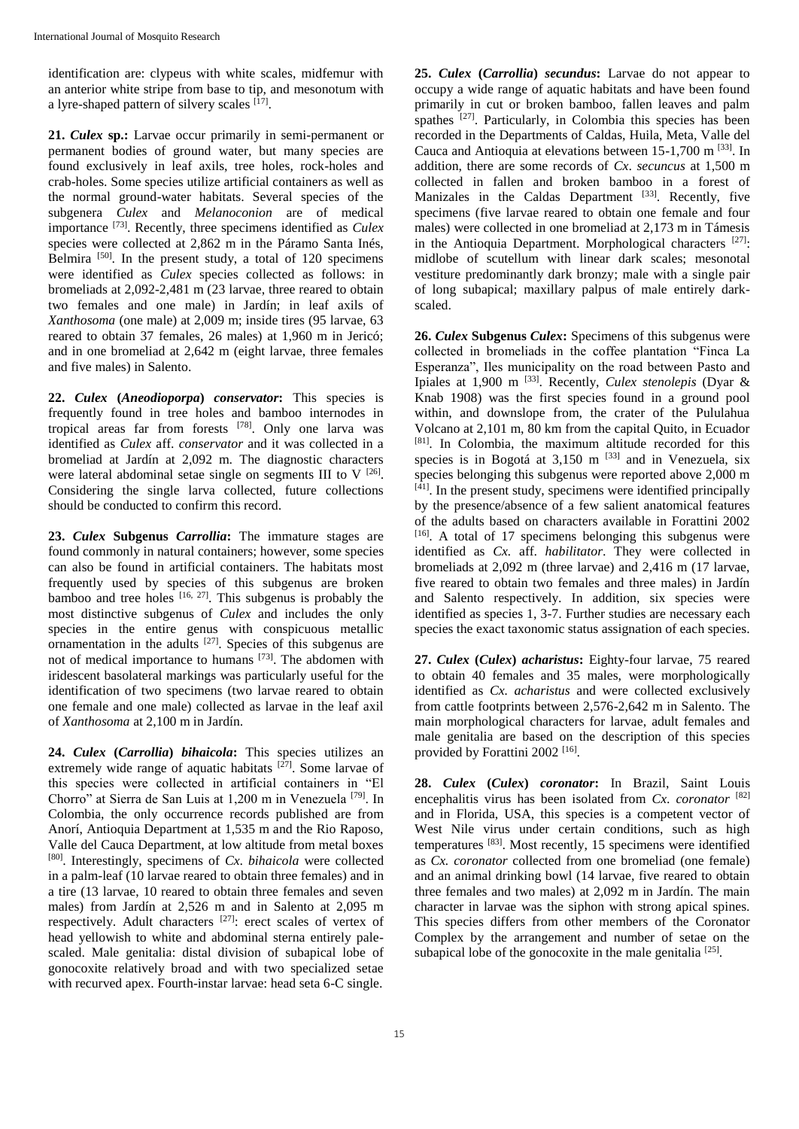identification are: clypeus with white scales, midfemur with an anterior white stripe from base to tip, and mesonotum with a lyre-shaped pattern of silvery scales [17].

**21.** *Culex* **sp.:** Larvae occur primarily in semi-permanent or permanent bodies of ground water, but many species are found exclusively in leaf axils, tree holes, rock-holes and crab-holes. Some species utilize artificial containers as well as the normal ground-water habitats. Several species of the subgenera *Culex* and *Melanoconion* are of medical importance [73]. Recently, three specimens identified as *Culex* species were collected at 2,862 m in the Páramo Santa Inés, Belmira  $[50]$ . In the present study, a total of 120 specimens were identified as *Culex* species collected as follows: in bromeliads at 2,092-2,481 m (23 larvae, three reared to obtain two females and one male) in Jardín; in leaf axils of *Xanthosoma* (one male) at 2,009 m; inside tires (95 larvae, 63 reared to obtain 37 females, 26 males) at 1,960 m in Jericó; and in one bromeliad at 2,642 m (eight larvae, three females and five males) in Salento.

**22.** *Culex* **(***Aneodioporpa***)** *conservator***:** This species is frequently found in tree holes and bamboo internodes in tropical areas far from forests [78]. Only one larva was identified as *Culex* aff. *conservator* and it was collected in a bromeliad at Jardín at 2,092 m. The diagnostic characters were lateral abdominal setae single on segments III to V  $^{[26]}$ . Considering the single larva collected, future collections should be conducted to confirm this record.

**23.** *Culex* **Subgenus** *Carrollia***:** The immature stages are found commonly in natural containers; however, some species can also be found in artificial containers. The habitats most frequently used by species of this subgenus are broken bamboo and tree holes  $[16, 27]$ . This subgenus is probably the most distinctive subgenus of *Culex* and includes the only species in the entire genus with conspicuous metallic ornamentation in the adults  $[27]$ . Species of this subgenus are not of medical importance to humans [73]. The abdomen with iridescent basolateral markings was particularly useful for the identification of two specimens (two larvae reared to obtain one female and one male) collected as larvae in the leaf axil of *Xanthosoma* at 2,100 m in Jardín.

**24.** *Culex* **(***Carrollia***)** *bihaicola***:** This species utilizes an extremely wide range of aquatic habitats  $[27]$ . Some larvae of this species were collected in artificial containers in "El Chorro" at Sierra de San Luis at 1,200 m in Venezuela [79] . In Colombia, the only occurrence records published are from Anorí, Antioquia Department at 1,535 m and the Rio Raposo, Valle del Cauca Department, at low altitude from metal boxes [80]. Interestingly, specimens of *Cx*. *bihaicola* were collected in a palm-leaf (10 larvae reared to obtain three females) and in a tire (13 larvae, 10 reared to obtain three females and seven males) from Jardín at 2,526 m and in Salento at 2,095 m respectively. Adult characters [27]: erect scales of vertex of head yellowish to white and abdominal sterna entirely palescaled. Male genitalia: distal division of subapical lobe of gonocoxite relatively broad and with two specialized setae with recurved apex. Fourth-instar larvae: head seta 6-C single.

**25.** *Culex* **(***Carrollia***)** *secundus***:** Larvae do not appear to occupy a wide range of aquatic habitats and have been found primarily in cut or broken bamboo, fallen leaves and palm spathes <sup>[27]</sup>. Particularly, in Colombia this species has been recorded in the Departments of Caldas, Huila, Meta, Valle del Cauca and Antioquia at elevations between 15-1,700 m [33]. In addition, there are some records of *Cx*. *secuncus* at 1,500 m collected in fallen and broken bamboo in a forest of Manizales in the Caldas Department [33]. Recently, five specimens (five larvae reared to obtain one female and four males) were collected in one bromeliad at 2,173 m in Támesis in the Antioquia Department. Morphological characters  $[27]$ : midlobe of scutellum with linear dark scales; mesonotal vestiture predominantly dark bronzy; male with a single pair of long subapical; maxillary palpus of male entirely darkscaled.

**26.** *Culex* **Subgenus** *Culex***:** Specimens of this subgenus were collected in bromeliads in the coffee plantation "Finca La Esperanza", Iles municipality on the road between Pasto and Ipiales at 1,900 m [33]. Recently, *Culex stenolepis* (Dyar & Knab 1908) was the first species found in a ground pool within, and downslope from, the crater of the Pululahua Volcano at 2,101 m, 80 km from the capital Quito, in Ecuador [81]. In Colombia, the maximum altitude recorded for this species is in Bogotá at  $3,150$  m  $^{[33]}$  and in Venezuela, six species belonging this subgenus were reported above 2,000 m [41]. In the present study, specimens were identified principally by the presence/absence of a few salient anatomical features of the adults based on characters available in Forattini 2002  $[16]$ . A total of 17 specimens belonging this subgenus were identified as *Cx.* aff. *habilitator*. They were collected in bromeliads at 2,092 m (three larvae) and 2,416 m (17 larvae, five reared to obtain two females and three males) in Jardín and Salento respectively. In addition, six species were identified as species 1, 3-7. Further studies are necessary each species the exact taxonomic status assignation of each species.

**27.** *Culex* **(***Culex***)** *acharistus***:** Eighty-four larvae, 75 reared to obtain 40 females and 35 males, were morphologically identified as *Cx. acharistus* and were collected exclusively from cattle footprints between 2,576-2,642 m in Salento. The main morphological characters for larvae, adult females and male genitalia are based on the description of this species provided by Forattini 2002<sup>[16]</sup>.

**28.** *Culex* **(***Culex***)** *coronator***:** In Brazil, Saint Louis encephalitis virus has been isolated from *Cx*. *coronator* [82] and in Florida, USA, this species is a competent vector of West Nile virus under certain conditions, such as high temperatures [83]. Most recently, 15 specimens were identified as *Cx. coronator* collected from one bromeliad (one female) and an animal drinking bowl (14 larvae, five reared to obtain three females and two males) at 2,092 m in Jardín. The main character in larvae was the siphon with strong apical spines. This species differs from other members of the Coronator Complex by the arrangement and number of setae on the subapical lobe of the gonocoxite in the male genitalia  $[25]$ .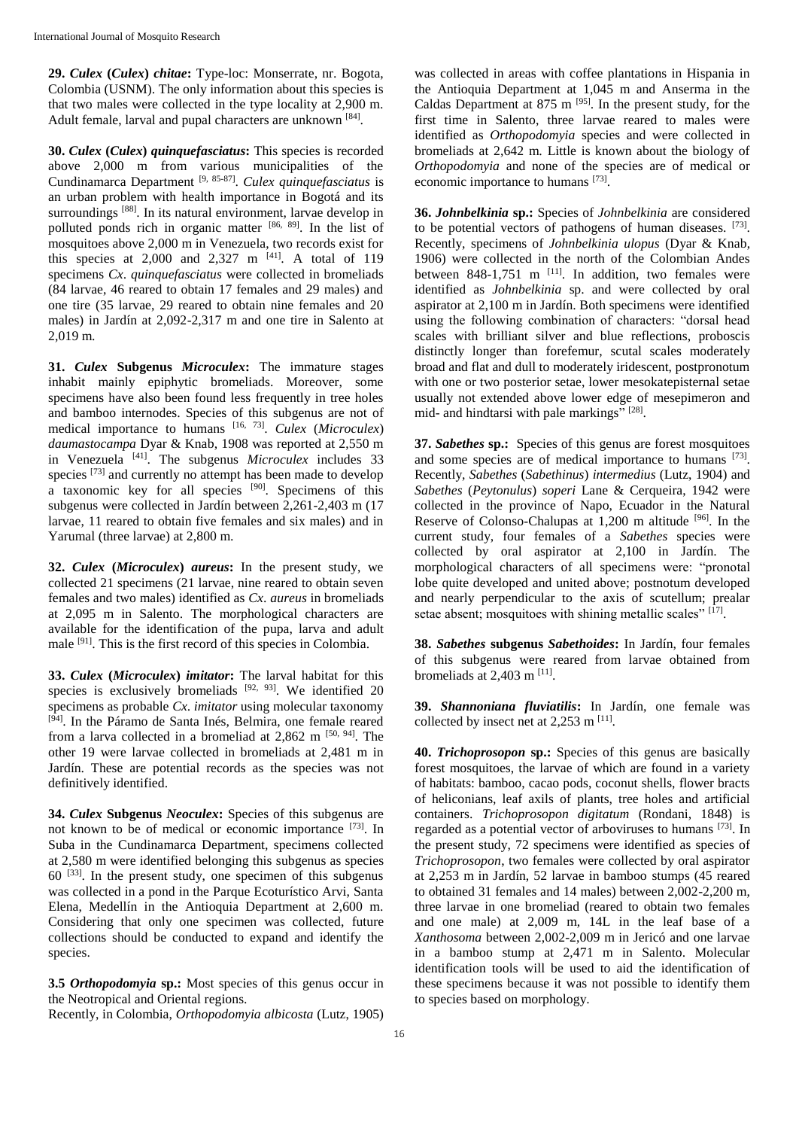**29.** *Culex* **(***Culex***)** *chitae***:** Type-loc: Monserrate, nr. Bogota, Colombia (USNM). The only information about this species is that two males were collected in the type locality at 2,900 m. Adult female, larval and pupal characters are unknown [84].

**30.** *Culex* **(***Culex***)** *quinquefasciatus***:** This species is recorded above 2,000 m from various municipalities of the Cundinamarca Department [9, 85-87] . *Culex quinquefasciatus* is an urban problem with health importance in Bogotá and its surroundings [88]. In its natural environment, larvae develop in polluted ponds rich in organic matter [86, 89]. In the list of mosquitoes above 2,000 m in Venezuela, two records exist for this species at  $2,000$  and  $2,327$  m  $^{[41]}$ . A total of 119 specimens *Cx*. *quinquefasciatus* were collected in bromeliads (84 larvae, 46 reared to obtain 17 females and 29 males) and one tire (35 larvae, 29 reared to obtain nine females and 20 males) in Jardín at 2,092-2,317 m and one tire in Salento at 2,019 m.

**31.** *Culex* **Subgenus** *Microculex***:** The immature stages inhabit mainly epiphytic bromeliads. Moreover, some specimens have also been found less frequently in tree holes and bamboo internodes. Species of this subgenus are not of medical importance to humans [16, 73] . *Culex* (*Microculex*) *daumastocampa* Dyar & Knab, 1908 was reported at 2,550 m in Venezuela [41]. The subgenus *Microculex* includes 33 species <sup>[73]</sup> and currently no attempt has been made to develop a taxonomic key for all species [90]. Specimens of this subgenus were collected in Jardín between 2,261-2,403 m (17 larvae, 11 reared to obtain five females and six males) and in Yarumal (three larvae) at 2,800 m.

**32.** *Culex* **(***Microculex***)** *aureus***:** In the present study, we collected 21 specimens (21 larvae, nine reared to obtain seven females and two males) identified as *Cx*. *aureus* in bromeliads at 2,095 m in Salento. The morphological characters are available for the identification of the pupa, larva and adult male [91]. This is the first record of this species in Colombia.

**33.** *Culex* **(***Microculex***)** *imitator***:** The larval habitat for this species is exclusively bromeliads [92, 93]. We identified 20 specimens as probable *Cx*. *imitator* using molecular taxonomy [94]. In the Páramo de Santa Inés, Belmira, one female reared from a larva collected in a bromeliad at  $2,862$  m  $[50, 94]$ . The other 19 were larvae collected in bromeliads at 2,481 m in Jardín. These are potential records as the species was not definitively identified.

**34.** *Culex* **Subgenus** *Neoculex***:** Species of this subgenus are not known to be of medical or economic importance [73]. In Suba in the Cundinamarca Department, specimens collected at 2,580 m were identified belonging this subgenus as species  $60^{[33]}$ . In the present study, one specimen of this subgenus was collected in a pond in the Parque Ecoturístico Arvi, Santa Elena, Medellín in the Antioquia Department at 2,600 m. Considering that only one specimen was collected, future collections should be conducted to expand and identify the species.

**3.5** *Orthopodomyia* **sp.:** Most species of this genus occur in the Neotropical and Oriental regions.

Recently, in Colombia, *Orthopodomyia albicosta* (Lutz, 1905)

was collected in areas with coffee plantations in Hispania in the Antioquia Department at 1,045 m and Anserma in the Caldas Department at 875 m  $[95]$ . In the present study, for the first time in Salento, three larvae reared to males were identified as *Orthopodomyia* species and were collected in bromeliads at 2,642 m. Little is known about the biology of *Orthopodomyia* and none of the species are of medical or economic importance to humans [73].

**36.** *Johnbelkinia* **sp.:** Species of *Johnbelkinia* are considered to be potential vectors of pathogens of human diseases. [73]. Recently, specimens of *Johnbelkinia ulopus* (Dyar & Knab, 1906) were collected in the north of the Colombian Andes between  $848-1,751$  m  $^{[11]}$ . In addition, two females were identified as *Johnbelkinia* sp. and were collected by oral aspirator at 2,100 m in Jardín. Both specimens were identified using the following combination of characters: "dorsal head scales with brilliant silver and blue reflections, proboscis distinctly longer than forefemur, scutal scales moderately broad and flat and dull to moderately iridescent, postpronotum with one or two posterior setae, lower mesokatepisternal setae usually not extended above lower edge of mesepimeron and mid- and hindtarsi with pale markings" [28].

**37.** *Sabethes* **sp.:** Species of this genus are forest mosquitoes and some species are of medical importance to humans [73]. Recently, *Sabethes* (*Sabethinus*) *intermedius* (Lutz, 1904) and *Sabethes* (*Peytonulus*) *soperi* Lane & Cerqueira, 1942 were collected in the province of Napo, Ecuador in the Natural Reserve of Colonso-Chalupas at 1,200 m altitude [96]. In the current study, four females of a *Sabethes* species were collected by oral aspirator at 2,100 in Jardín. The morphological characters of all specimens were: "pronotal lobe quite developed and united above; postnotum developed and nearly perpendicular to the axis of scutellum; prealar setae absent; mosquitoes with shining metallic scales" [17].

**38.** *Sabethes* **subgenus** *Sabethoides***:** In Jardín, four females of this subgenus were reared from larvae obtained from bromeliads at  $2,403$  m  $^{[11]}$ .

**39.** *Shannoniana fluviatilis***:** In Jardín, one female was collected by insect net at  $2,253$  m  $^{[11]}$ .

**40.** *Trichoprosopon* **sp.:** Species of this genus are basically forest mosquitoes, the larvae of which are found in a variety of habitats: bamboo, cacao pods, coconut shells, flower bracts of heliconians, leaf axils of plants, tree holes and artificial containers. *Trichoprosopon digitatum* (Rondani, 1848) is regarded as a potential vector of arboviruses to humans [73]. In the present study, 72 specimens were identified as species of *Trichoprosopon*, two females were collected by oral aspirator at 2,253 m in Jardín, 52 larvae in bamboo stumps (45 reared to obtained 31 females and 14 males) between 2,002-2,200 m, three larvae in one bromeliad (reared to obtain two females and one male) at 2,009 m, 14L in the leaf base of a *Xanthosoma* between 2,002-2,009 m in Jericó and one larvae in a bamboo stump at 2,471 m in Salento. Molecular identification tools will be used to aid the identification of these specimens because it was not possible to identify them to species based on morphology.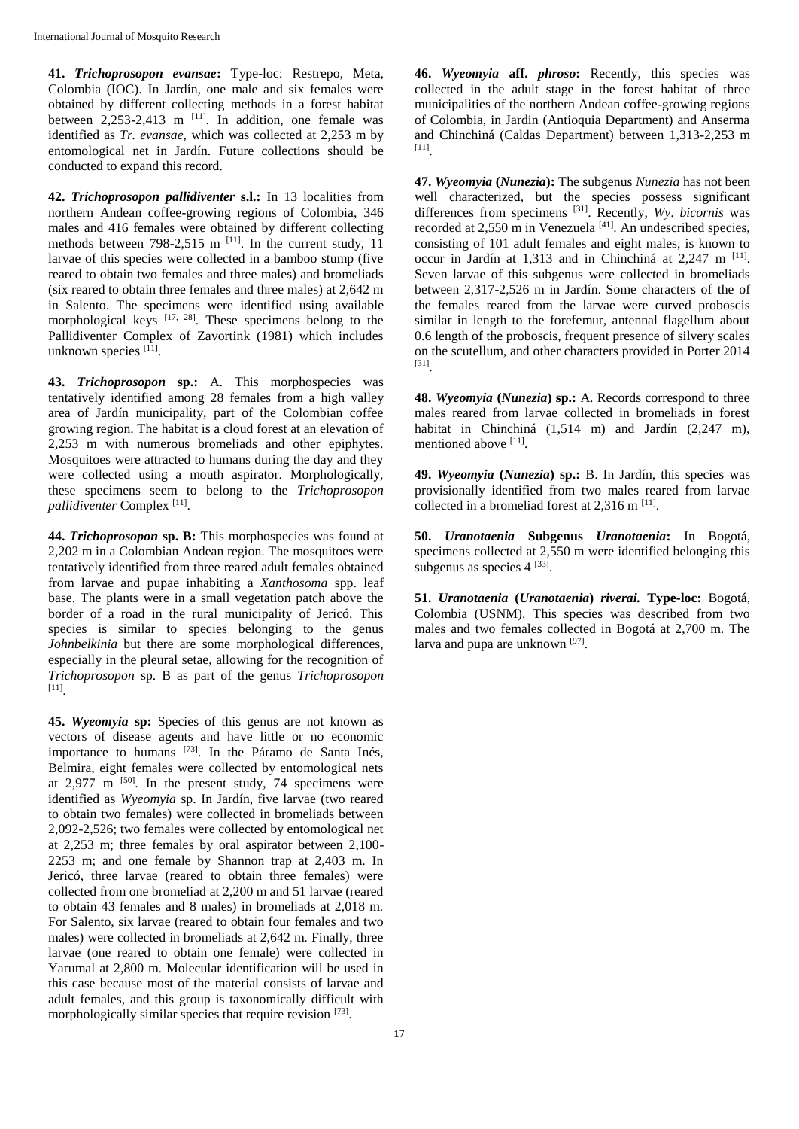**41.** *Trichoprosopon evansae***:** Type-loc: Restrepo, Meta, Colombia (IOC). In Jardín, one male and six females were obtained by different collecting methods in a forest habitat between  $2,253-2,413$  m <sup>[11]</sup>. In addition, one female was identified as *Tr. evansae,* which was collected at 2,253 m by entomological net in Jardín. Future collections should be conducted to expand this record.

**42.** *Trichoprosopon pallidiventer* **s.l.:** In 13 localities from northern Andean coffee-growing regions of Colombia, 346 males and 416 females were obtained by different collecting methods between 798-2,515 m  $^{[11]}$ . In the current study, 11 larvae of this species were collected in a bamboo stump (five reared to obtain two females and three males) and bromeliads (six reared to obtain three females and three males) at 2,642 m in Salento. The specimens were identified using available morphological keys  $[17, 28]$ . These specimens belong to the Pallidiventer Complex of Zavortink (1981) which includes unknown species [11].

**43.** *Trichoprosopon* **sp.:** A. This morphospecies was tentatively identified among 28 females from a high valley area of Jardín municipality, part of the Colombian coffee growing region. The habitat is a cloud forest at an elevation of 2,253 m with numerous bromeliads and other epiphytes. Mosquitoes were attracted to humans during the day and they were collected using a mouth aspirator. Morphologically, these specimens seem to belong to the *Trichoprosopon pallidiventer* Complex [11] .

**44.** *Trichoprosopon* **sp. B:** This morphospecies was found at 2,202 m in a Colombian Andean region. The mosquitoes were tentatively identified from three reared adult females obtained from larvae and pupae inhabiting a *Xanthosoma* spp. leaf base. The plants were in a small vegetation patch above the border of a road in the rural municipality of Jericó. This species is similar to species belonging to the genus *Johnbelkinia* but there are some morphological differences, especially in the pleural setae, allowing for the recognition of *Trichoprosopon* sp. B as part of the genus *Trichoprosopon*  [11] .

**45.** *Wyeomyia* **sp:** Species of this genus are not known as vectors of disease agents and have little or no economic importance to humans [73]. In the Páramo de Santa Inés, Belmira, eight females were collected by entomological nets at  $2,977$  m  $[50]$ . In the present study, 74 specimens were identified as *Wyeomyia* sp. In Jardín, five larvae (two reared to obtain two females) were collected in bromeliads between 2,092-2,526; two females were collected by entomological net at 2,253 m; three females by oral aspirator between 2,100- 2253 m; and one female by Shannon trap at 2,403 m. In Jericó, three larvae (reared to obtain three females) were collected from one bromeliad at 2,200 m and 51 larvae (reared to obtain 43 females and 8 males) in bromeliads at 2,018 m. For Salento, six larvae (reared to obtain four females and two males) were collected in bromeliads at 2,642 m. Finally, three larvae (one reared to obtain one female) were collected in Yarumal at 2,800 m. Molecular identification will be used in this case because most of the material consists of larvae and adult females, and this group is taxonomically difficult with morphologically similar species that require revision [73].

**46.** *Wyeomyia* **aff.** *phroso***:** Recently, this species was collected in the adult stage in the forest habitat of three municipalities of the northern Andean coffee-growing regions of Colombia, in Jardin (Antioquia Department) and Anserma and Chinchiná (Caldas Department) between 1,313-2,253 m [11] .

**47.** *Wyeomyia* **(***Nunezia***):** The subgenus *Nunezia* has not been well characterized, but the species possess significant differences from specimens [31] . Recently, *Wy*. *bicornis* was recorded at  $2,550$  m in Venezuela <sup>[41]</sup>. An undescribed species, consisting of 101 adult females and eight males, is known to occur in Jardín at 1,313 and in Chinchiná at 2,247 m <sup>[11]</sup>. Seven larvae of this subgenus were collected in bromeliads between 2,317-2,526 m in Jardín. Some characters of the of the females reared from the larvae were curved proboscis similar in length to the forefemur, antennal flagellum about 0.6 length of the proboscis, frequent presence of silvery scales on the scutellum, and other characters provided in Porter 2014 [31] .

**48.** *Wyeomyia* **(***Nunezia***) sp.:** A. Records correspond to three males reared from larvae collected in bromeliads in forest habitat in Chinchiná (1,514 m) and Jardín (2,247 m), mentioned above [11].

**49.** *Wyeomyia* **(***Nunezia***) sp.:** B. In Jardín, this species was provisionally identified from two males reared from larvae collected in a bromeliad forest at  $2,316$  m  $^{[11]}$ .

**50.** *Uranotaenia* **Subgenus** *Uranotaenia***:** In Bogotá, specimens collected at 2,550 m were identified belonging this subgenus as species  $4^{[33]}$ .

**51.** *Uranotaenia* **(***Uranotaenia***)** *riverai.* **Type-loc:** Bogotá, Colombia (USNM). This species was described from two males and two females collected in Bogotá at 2,700 m. The larva and pupa are unknown [97].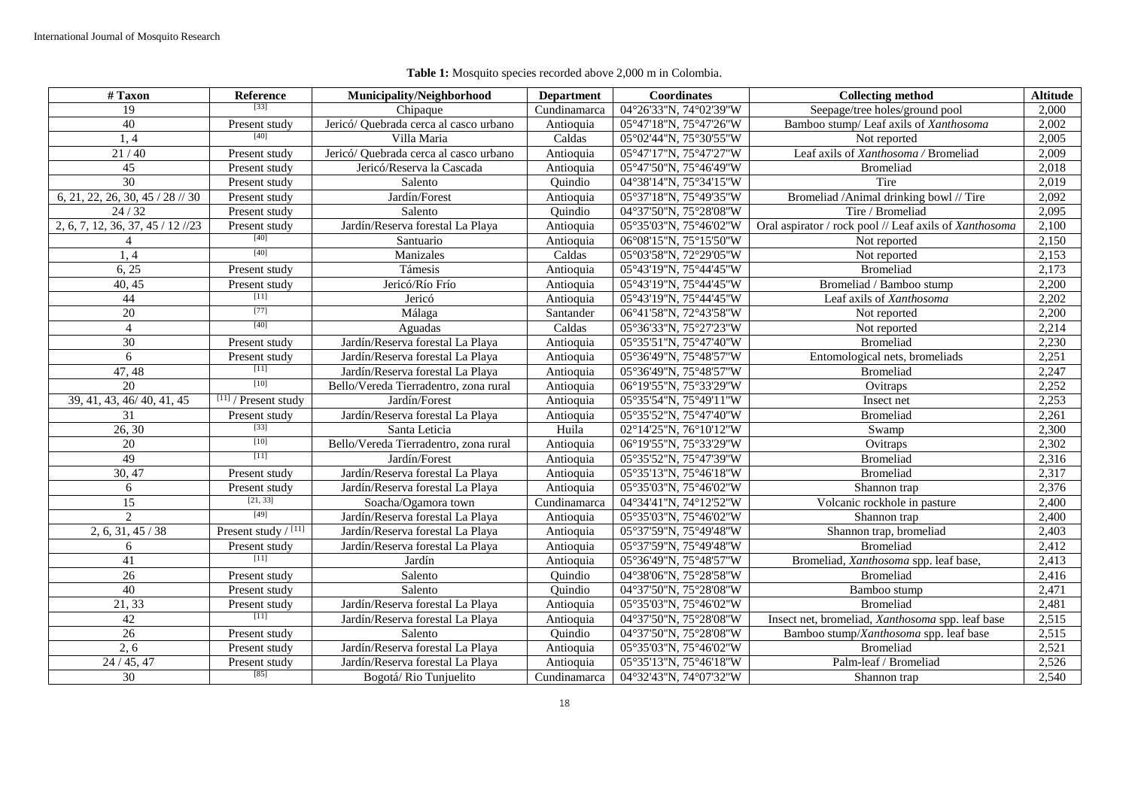| $\overline{\#}$ Taxon             | Reference              | Municipality/Neighborhood              | <b>Department</b> | <b>Coordinates</b>     | <b>Collecting method</b>                               | <b>Altitude</b> |
|-----------------------------------|------------------------|----------------------------------------|-------------------|------------------------|--------------------------------------------------------|-----------------|
| 19                                | [33]                   | Chipaque                               | Cundinamarca      | 04°26'33"N, 74°02'39"W | Seepage/tree holes/ground pool                         | 2,000           |
| 40                                | Present study          | Jericó/ Quebrada cerca al casco urbano | Antioquia         | 05°47'18"N, 75°47'26"W | Bamboo stump/ Leaf axils of Xanthosoma                 | 2,002           |
| 1.4                               | $[40]$                 | Villa Maria                            | Caldas            | 05°02'44"N, 75°30'55"W | Not reported                                           | 2,005           |
| 21/40                             | Present study          | Jericó/ Quebrada cerca al casco urbano | Antioquia         | 05°47'17"N, 75°47'27"W | Leaf axils of Xanthosoma / Bromeliad                   | 2,009           |
| 45                                | Present study          | Jericó/Reserva la Cascada              | Antioquia         | 05°47'50"N, 75°46'49"W | <b>Bromeliad</b>                                       | 2,018           |
| 30                                | Present study          | Salento                                | Quindio           | 04°38'14"N, 75°34'15"W | Tire                                                   | 2,019           |
| 6, 21, 22, 26, 30, 45 / 28 // 30  | Present study          | Jardín/Forest                          | Antioquia         | 05°37'18"N, 75°49'35"W | Bromeliad /Animal drinking bowl // Tire                | 2,092           |
| 24/32                             | Present study          | Salento                                | Quindio           | 04°37'50"N, 75°28'08"W | Tire / Bromeliad                                       | 2,095           |
| 2, 6, 7, 12, 36, 37, 45 / 12 //23 | Present study          | Jardín/Reserva forestal La Playa       | Antioquia         | 05°35'03"N, 75°46'02"W | Oral aspirator / rock pool // Leaf axils of Xanthosoma | 2,100           |
|                                   | $[40]$                 | Santuario                              | Antioquia         | 06°08'15"N, 75°15'50"W | Not reported                                           | 2,150           |
| 1,4                               | $[40]$                 | Manizales                              | Caldas            | 05°03'58"N, 72°29'05"W | Not reported                                           | 2,153           |
| 6, 25                             | Present study          | Támesis                                | Antioquia         | 05°43'19"N, 75°44'45"W | <b>Bromeliad</b>                                       | 2,173           |
| 40, 45                            | Present study          | Jericó/Río Frío                        | Antioquia         | 05°43'19"N, 75°44'45"W | Bromeliad / Bamboo stump                               | 2,200           |
| 44                                | $[11]$                 | Jericó                                 | Antioquia         | 05°43'19"N, 75°44'45"W | Leaf axils of Xanthosoma                               | 2,202           |
| $\overline{20}$                   | $[77]$                 | Málaga                                 | Santander         | 06°41'58"N, 72°43'58"W | Not reported                                           | 2,200           |
| $\overline{4}$                    | [40]                   | Aguadas                                | Caldas            | 05°36'33"N, 75°27'23"W | Not reported                                           | 2,214           |
| 30                                | Present study          | Jardín/Reserva forestal La Playa       | Antioquia         | 05°35'51"N, 75°47'40"W | <b>Bromeliad</b>                                       | 2,230           |
| 6                                 | Present study          | Jardín/Reserva forestal La Playa       | Antioquia         | 05°36'49"N, 75°48'57"W | Entomological nets, bromeliads                         | 2,251           |
| 47,48                             | $[11]$                 | Jardín/Reserva forestal La Plava       | Antioquia         | 05°36'49"N, 75°48'57"W | Bromeliad                                              | 2,247           |
| 20                                | $[10]$                 | Bello/Vereda Tierradentro, zona rural  | Antioquia         | 06°19'55"N, 75°33'29"W | Ovitraps                                               | 2,252           |
| 39, 41, 43, 46/ 40, 41, 45        | $[11]$ / Present study | Jardín/Forest                          | Antioquia         | 05°35'54"N, 75°49'11"W | Insect net                                             | 2,253           |
| 31                                | Present study          | Jardín/Reserva forestal La Playa       | Antioquia         | 05°35'52"N, 75°47'40"W | <b>Bromeliad</b>                                       | 2,261           |
| 26, 30                            | $[33]$                 | Santa Leticia                          | Huila             | 02°14'25"N, 76°10'12"W | Swamp                                                  | 2,300           |
| $\overline{20}$                   | $[10]$                 | Bello/Vereda Tierradentro, zona rural  | Antioquia         | 06°19'55"N, 75°33'29"W | Ovitraps                                               | 2,302           |
| 49                                | $[11]$                 | Jardín/Forest                          | Antioquia         | 05°35'52"N, 75°47'39"W | Bromeliad                                              | 2,316           |
| 30, 47                            | Present study          | Jardín/Reserva forestal La Playa       | Antioquia         | 05°35'13"N, 75°46'18"W | <b>Bromeliad</b>                                       | 2,317           |
| 6                                 | Present study          | Jardín/Reserva forestal La Playa       | Antioquia         | 05°35'03"N, 75°46'02"W | Shannon trap                                           | 2,376           |
| $\overline{15}$                   | [21, 33]               | Soacha/Ogamora town                    | Cundinamarca      | 04°34'41"N, 74°12'52"W | Volcanic rockhole in pasture                           | 2,400           |
| $\overline{c}$                    | $[49]$                 | Jardín/Reserva forestal La Playa       | Antioquia         | 05°35'03"N, 75°46'02"W | Shannon trap                                           | 2,400           |
| 2, 6, 31, 45 / 38                 | Present study / [11]   | Jardín/Reserva forestal La Playa       | Antioquia         | 05°37'59"N, 75°49'48"W | Shannon trap, bromeliad                                | 2,403           |
| 6                                 | Present study          | Jardín/Reserva forestal La Playa       | Antioquia         | 05°37'59"N, 75°49'48"W | <b>Bromeliad</b>                                       | 2,412           |
| 41                                | $[11]$                 | Jardín                                 | Antioquia         | 05°36'49"N, 75°48'57"W | Bromeliad, Xanthosoma spp. leaf base,                  | 2,413           |
| 26                                | Present study          | Salento                                | Quindio           | 04°38'06"N, 75°28'58"W | <b>Bromeliad</b>                                       | 2,416           |
| 40                                | Present study          | Salento                                | Quindio           | 04°37'50"N, 75°28'08"W | Bamboo stump                                           | 2,471           |
| 21, 33                            | Present study          | Jardín/Reserva forestal La Playa       | Antioquia         | 05°35'03"N, 75°46'02"W | <b>Bromeliad</b>                                       | 2,481           |
| 42                                | $[11]$                 | Jardín/Reserva forestal La Playa       | Antioquia         | 04°37'50"N, 75°28'08"W | Insect net, bromeliad, Xanthosoma spp. leaf base       | 2,515           |
| $\overline{26}$                   | Present study          | Salento                                | Ouindio           | 04°37'50"N, 75°28'08"W | Bamboo stump/Xanthosoma spp. leaf base                 | 2,515           |
| $\overline{2,6}$                  | Present study          | Jardín/Reserva forestal La Playa       | Antioquia         | 05°35'03"N, 75°46'02"W | <b>Bromeliad</b>                                       | 2,521           |
| 24/45, 47                         | Present study          | Jardín/Reserva forestal La Playa       | Antioquia         | 05°35'13"N, 75°46'18"W | Palm-leaf / Bromeliad                                  | 2,526           |
| 30                                | [85]                   | Bogotá/Rio Tunjuelito                  | Cundinamarca      | 04°32'43"N, 74°07'32"W | Shannon trap                                           | 2,540           |

# **Table 1:** Mosquito species recorded above 2,000 m in Colombia.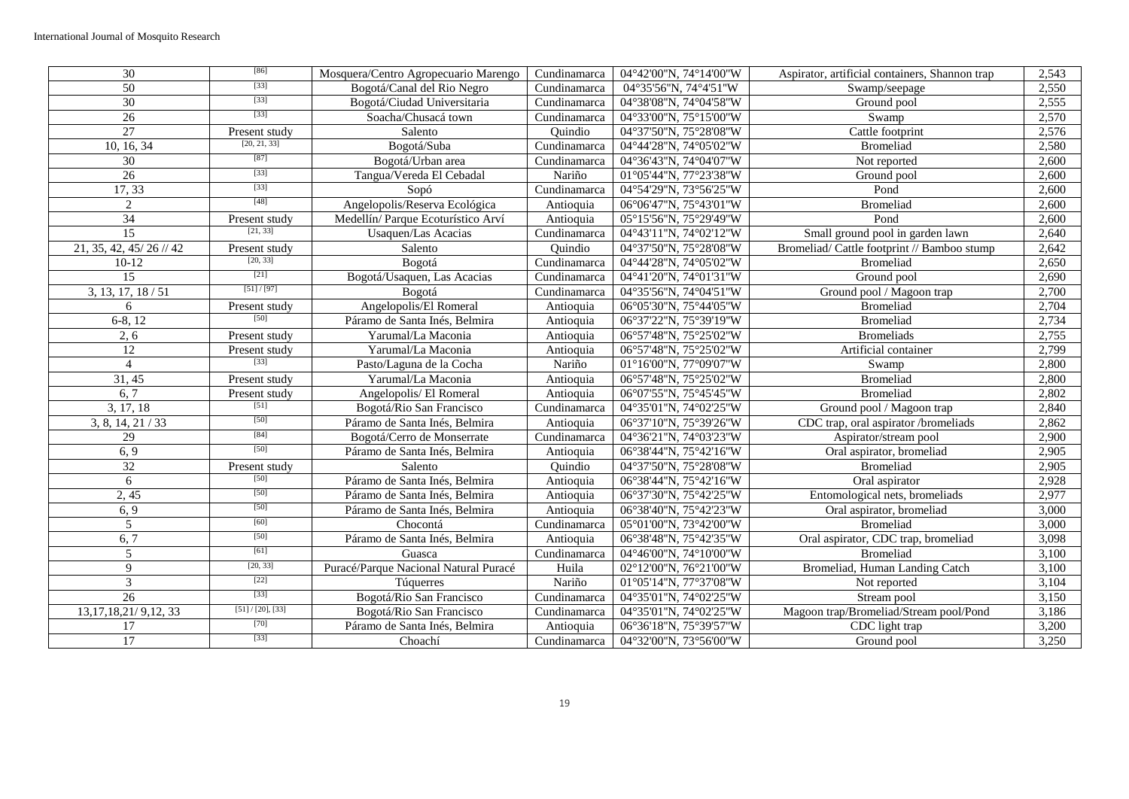| $\overline{30}$           | $[86]$               | Mosquera/Centro Agropecuario Marengo  | Cundinamarca                      | 04°42'00"N, 74°14'00"W | Aspirator, artificial containers, Shannon trap | 2,543 |
|---------------------------|----------------------|---------------------------------------|-----------------------------------|------------------------|------------------------------------------------|-------|
| 50                        | $[33]$               | Bogotá/Canal del Rio Negro            | Cundinamarca                      | 04°35'56"N, 74°4'51"W  | Swamp/seepage                                  | 2,550 |
| 30                        | $[33]$               | Bogotá/Ciudad Universitaria           | Cundinamarca                      | 04°38'08"N, 74°04'58"W | Ground pool                                    | 2,555 |
| 26                        | $[33]$               | Soacha/Chusacá town                   | Cundinamarca                      | 04°33'00"N, 75°15'00"W | Swamp                                          | 2,570 |
| 27                        | Present study        | Salento                               | Quindio                           | 04°37'50"N, 75°28'08"W | Cattle footprint                               | 2,576 |
| 10, 16, 34                | [20, 21, 33]         | Bogotá/Suba                           | Cundinamarca                      | 04°44'28"N, 74°05'02"W | Bromeliad                                      | 2,580 |
| 30                        | [87]                 | Bogotá/Urban area                     | Cundinamarca                      | 04°36'43"N, 74°04'07"W | Not reported                                   | 2,600 |
| 26                        | $[33]$               | Tangua/Vereda El Cebadal              | Nariño                            | 01°05'44"N, 77°23'38"W | Ground pool                                    | 2,600 |
| 17,33                     | $[33]$               | Sopó                                  | Cundinamarca                      | 04°54'29"N, 73°56'25"W | Pond                                           | 2,600 |
| 2                         | [48]                 | Angelopolis/Reserva Ecológica         | Antioquia                         | 06°06'47"N, 75°43'01"W | <b>Bromeliad</b>                               | 2,600 |
| 34                        | Present study        | Medellín/Parque Ecoturístico Arví     | Antioquia                         | 05°15'56"N, 75°29'49"W | Pond                                           | 2,600 |
| 15                        | [21, 33]             | Usaquen/Las Acacias                   | Cundinamarca                      | 04°43'11"N, 74°02'12"W | Small ground pool in garden lawn               | 2,640 |
| 21, 35, 42, 45/ 26 // 42  | Present study        | Salento                               | Ouindio                           | 04°37'50"N, 75°28'08"W | Bromeliad/Cattle footprint // Bamboo stump     | 2,642 |
| $10-12$                   | [20, 33]             | Bogotá                                | Cundinamarca                      | 04°44'28"N, 74°05'02"W | Bromeliad                                      | 2,650 |
| $\overline{15}$           | $[21]$               | Bogotá/Usaquen, Las Acacias           | Cundinamarca                      | 04°41'20"N, 74°01'31"W | Ground pool                                    | 2,690 |
| 3, 13, 17, 18/51          | [51]/[97]            | Bogotá                                | Cundinamarca                      | 04°35'56"N, 74°04'51"W | Ground pool / Magoon trap                      | 2,700 |
| 6                         | Present study        | Angelopolis/El Romeral                | Antioquia                         | 06°05'30"N, 75°44'05"W | <b>Bromeliad</b>                               | 2,704 |
| $6-8, 12$                 | [50]                 | Páramo de Santa Inés, Belmira         | Antioquia                         | 06°37'22"N, 75°39'19"W | Bromeliad                                      | 2,734 |
| 2, 6                      | Present study        | Yarumal/La Maconia                    | Antioquia                         | 06°57'48"N, 75°25'02"W | <b>Bromeliads</b>                              | 2,755 |
| 12                        | Present study        | Yarumal/La Maconia                    | Antioquia                         | 06°57'48"N, 75°25'02"W | Artificial container                           | 2,799 |
| $\overline{4}$            | $[33]$               | Pasto/Laguna de la Cocha              | Nariño                            | 01°16'00"N, 77°09'07"W | Swamp                                          | 2,800 |
| 31, 45                    | Present study        | Yarumal/La Maconia                    | Antioquia                         | 06°57'48"N, 75°25'02"W | <b>Bromeliad</b>                               | 2,800 |
| 6, 7                      | Present study        | Angelopolis/ El Romeral               | Antioquia                         | 06°07'55"N, 75°45'45"W | <b>Bromeliad</b>                               | 2,802 |
| 3, 17, 18                 | $[51]$               | Bogotá/Rio San Francisco              | Cundinamarca                      | 04°35'01"N, 74°02'25"W | Ground pool / Magoon trap                      | 2,840 |
| 3, 8, 14, 21 / 33         | $[50]$               | Páramo de Santa Inés, Belmira         | Antioquia                         | 06°37'10"N, 75°39'26"W | CDC trap, oral aspirator /bromeliads           | 2,862 |
| $\overline{29}$           | [84]                 | Bogotá/Cerro de Monserrate            | Cundinamarca                      | 04°36'21"N, 74°03'23"W | Aspirator/stream pool                          | 2,900 |
| 6, 9                      | $[50]$               | Páramo de Santa Inés, Belmira         | Antioquia                         | 06°38'44"N, 75°42'16"W | Oral aspirator, bromeliad                      | 2,905 |
| 32                        | Present study        | Salento                               | Quindio                           | 04°37'50"N, 75°28'08"W | <b>Bromeliad</b>                               | 2,905 |
| 6                         | [50]                 | Páramo de Santa Inés, Belmira         | Antioquia                         | 06°38'44"N, 75°42'16"W | Oral aspirator                                 | 2,928 |
| 2,45                      | $[50]$               | Páramo de Santa Inés, Belmira         | Antioquia                         | 06°37'30"N, 75°42'25"W | Entomological nets, bromeliads                 | 2,977 |
| 6, 9                      | $[50]$               | Páramo de Santa Inés, Belmira         | Antioquia                         | 06°38'40"N, 75°42'23"W | Oral aspirator, bromeliad                      | 3,000 |
| 5                         | $[60]$               | Chocontá                              | Cundinamarca                      | 05°01'00"N, 73°42'00"W | <b>Bromeliad</b>                               | 3,000 |
| 6, 7                      | $[50]$               | Páramo de Santa Inés, Belmira         | Antioquia                         | 06°38'48"N, 75°42'35"W | Oral aspirator, CDC trap, bromeliad            | 3,098 |
| 5                         | $[61]$               | Guasca                                | Cundinamarca                      | 04°46'00"N, 74°10'00"W | <b>Bromeliad</b>                               | 3,100 |
| 9                         | [20, 33]             | Puracé/Parque Nacional Natural Puracé | Huila                             | 02°12'00"N, 76°21'00"W | Bromeliad, Human Landing Catch                 | 3,100 |
| $\overline{3}$            | $[22]$               | Túquerres                             | Nariño                            | 01°05'14"N, 77°37'08"W | Not reported                                   | 3,104 |
| $\overline{26}$           | $[33]$               | Bogotá/Rio San Francisco              | $\overline{\text{C}}$ undinamarca | 04°35'01"N, 74°02'25"W | Stream pool                                    | 3,150 |
| 13, 17, 18, 21/ 9, 12, 33 | $[51] / [20]$ , [33] | Bogotá/Rio San Francisco              | Cundinamarca                      | 04°35'01"N, 74°02'25"W | Magoon trap/Bromeliad/Stream pool/Pond         | 3,186 |
| 17                        | $[70]$               | Páramo de Santa Inés, Belmira         | Antioquia                         | 06°36'18"N, 75°39'57"W | CDC light trap                                 | 3,200 |
| 17                        | $[33]$               | Choachí                               | Cundinamarca                      | 04°32'00"N, 73°56'00"W | Ground pool                                    | 3,250 |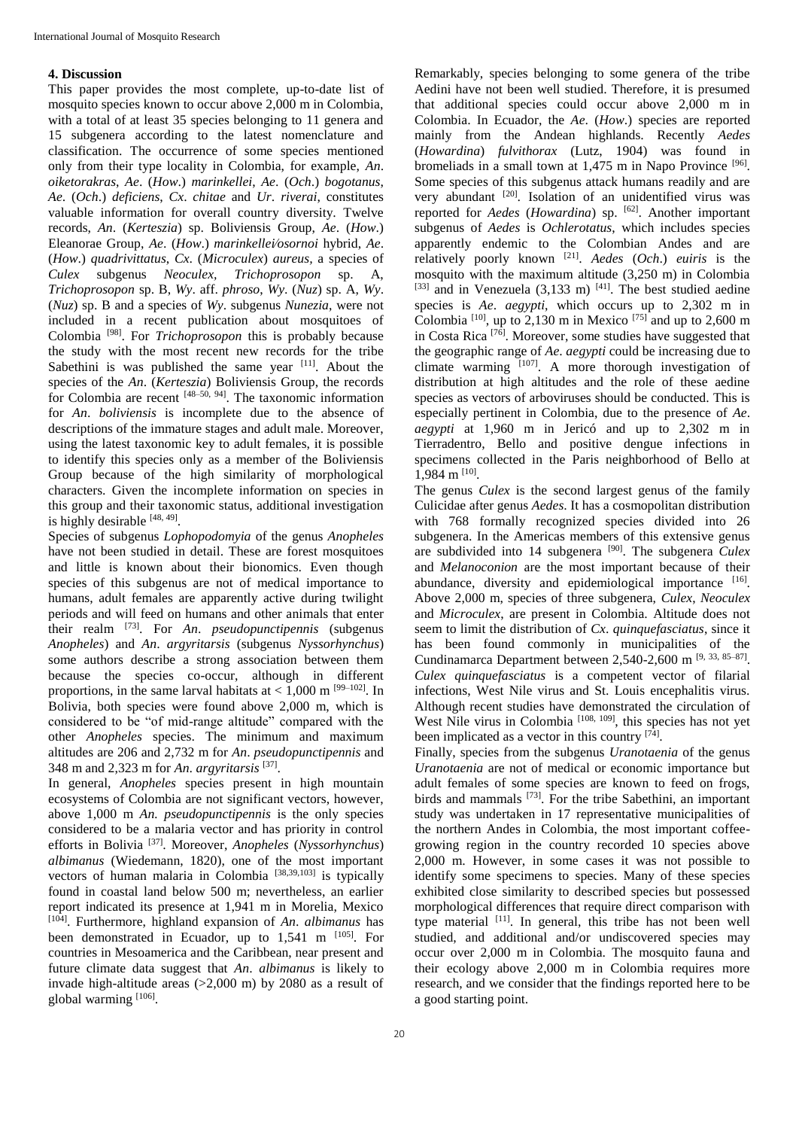## **4. Discussion**

This paper provides the most complete, up-to-date list of mosquito species known to occur above 2,000 m in Colombia, with a total of at least 35 species belonging to 11 genera and 15 subgenera according to the latest nomenclature and classification. The occurrence of some species mentioned only from their type locality in Colombia, for example, *An*. *oiketorakras*, *Ae*. (*How*.) *marinkellei*, *Ae*. (*Och*.) *bogotanus*, *Ae*. (*Och*.) *deficiens*, *Cx*. *chitae* and *Ur*. *riverai*, constitutes valuable information for overall country diversity. Twelve records, *An*. (*Kerteszia*) sp. Boliviensis Group, *Ae*. (*How*.) Eleanorae Group, *Ae*. (*How*.) *marinkellei*∕*osornoi* hybrid, *Ae*. (*How*.) *quadrivittatus*, *Cx*. (*Microculex*) *aureus,* a species of *Culex* subgenus *Neoculex, Trichoprosopon* sp. A, *Trichoprosopon* sp. B, *Wy*. aff. *phroso*, *Wy*. (*Nuz*) sp. A, *Wy*. (*Nuz*) sp. B and a species of *Wy*. subgenus *Nunezia*, were not included in a recent publication about mosquitoes of Colombia [98]. For *Trichoprosopon* this is probably because the study with the most recent new records for the tribe Sabethini is was published the same year [11]. About the species of the *An*. (*Kerteszia*) Boliviensis Group, the records for Colombia are recent [48–50, 94] . The taxonomic information for *An*. *boliviensis* is incomplete due to the absence of descriptions of the immature stages and adult male. Moreover, using the latest taxonomic key to adult females, it is possible to identify this species only as a member of the Boliviensis Group because of the high similarity of morphological characters. Given the incomplete information on species in this group and their taxonomic status, additional investigation is highly desirable [48, 49].

Species of subgenus *Lophopodomyia* of the genus *Anopheles* have not been studied in detail. These are forest mosquitoes and little is known about their bionomics. Even though species of this subgenus are not of medical importance to humans, adult females are apparently active during twilight periods and will feed on humans and other animals that enter their realm [73]. For *An*. *pseudopunctipennis* (subgenus *Anopheles*) and *An*. *argyritarsis* (subgenus *Nyssorhynchus*) some authors describe a strong association between them because the species co-occur, although in different proportions, in the same larval habitats at  $< 1,000$  m <sup>[99–102]</sup>. In Bolivia, both species were found above 2,000 m, which is considered to be "of mid-range altitude" compared with the other *Anopheles* species. The minimum and maximum altitudes are 206 and 2,732 m for *An*. *pseudopunctipennis* and 348 m and 2,323 m for *An*. *argyritarsis* [37] .

In general, *Anopheles* species present in high mountain ecosystems of Colombia are not significant vectors, however, above 1,000 m *An. pseudopunctipennis* is the only species considered to be a malaria vector and has priority in control efforts in Bolivia [37]. Moreover, *Anopheles* (*Nyssorhynchus*) *albimanus* (Wiedemann, 1820), one of the most important vectors of human malaria in Colombia [38,39,103] is typically found in coastal land below 500 m; nevertheless, an earlier report indicated its presence at 1,941 m in Morelia, Mexico [104]. Furthermore, highland expansion of *An*. *albimanus* has been demonstrated in Ecuador, up to  $1,541$  m  $[105]$ . For countries in Mesoamerica and the Caribbean, near present and future climate data suggest that *An*. *albimanus* is likely to invade high-altitude areas (>2,000 m) by 2080 as a result of global warming [106].

Remarkably, species belonging to some genera of the tribe Aedini have not been well studied. Therefore, it is presumed that additional species could occur above 2,000 m in Colombia. In Ecuador, the *Ae*. (*How*.) species are reported mainly from the Andean highlands. Recently *Aedes* (*Howardina*) *fulvithorax* (Lutz, 1904) was found in bromeliads in a small town at 1,475 m in Napo Province <sup>[96]</sup>. Some species of this subgenus attack humans readily and are very abundant <sup>[20]</sup>. Isolation of an unidentified virus was reported for *Aedes* (*Howardina*) sp. [62]. Another important subgenus of *Aedes* is *Ochlerotatus*, which includes species apparently endemic to the Colombian Andes and are relatively poorly known [21] . *Aedes* (*Och*.) *euiris* is the mosquito with the maximum altitude (3,250 m) in Colombia  $^{[33]}$  and in Venezuela (3,133 m)  $^{[41]}$ . The best studied aedine species is *Ae*. *aegypti*, which occurs up to 2,302 m in Colombia  $^{[10]}$ , up to 2,130 m in Mexico  $^{[75]}$  and up to 2,600 m in Costa Rica  $^{[76]}$ . Moreover, some studies have suggested that the geographic range of *Ae*. *aegypti* could be increasing due to climate warming [107]. A more thorough investigation of distribution at high altitudes and the role of these aedine species as vectors of arboviruses should be conducted. This is especially pertinent in Colombia, due to the presence of *Ae*. *aegypti* at 1,960 m in Jericó and up to 2,302 m in Tierradentro, Bello and positive dengue infections in specimens collected in the Paris neighborhood of Bello at 1,984 m [10].

The genus *Culex* is the second largest genus of the family Culicidae after genus *Aedes*. It has a cosmopolitan distribution with 768 formally recognized species divided into 26 subgenera. In the Americas members of this extensive genus are subdivided into 14 subgenera [90]. The subgenera *Culex* and *Melanoconion* are the most important because of their abundance, diversity and epidemiological importance [16]. Above 2,000 m, species of three subgenera, *Culex*, *Neoculex* and *Microculex*, are present in Colombia. Altitude does not seem to limit the distribution of *Cx*. *quinquefasciatus*, since it has been found commonly in municipalities of the Cundinamarca Department between 2,540-2,600 m  $[9, 33, 85-87]$ . *Culex quinquefasciatus* is a competent vector of filarial infections, West Nile virus and St. Louis encephalitis virus. Although recent studies have demonstrated the circulation of West Nile virus in Colombia [108, 109], this species has not yet been implicated as a vector in this country <sup>[74]</sup>.

Finally, species from the subgenus *Uranotaenia* of the genus *Uranotaenia* are not of medical or economic importance but adult females of some species are known to feed on frogs, birds and mammals <a>[73]</a>. For the tribe Sabethini, an important study was undertaken in 17 representative municipalities of the northern Andes in Colombia, the most important coffeegrowing region in the country recorded 10 species above 2,000 m. However, in some cases it was not possible to identify some specimens to species. Many of these species exhibited close similarity to described species but possessed morphological differences that require direct comparison with type material [11]. In general, this tribe has not been well studied, and additional and/or undiscovered species may occur over 2,000 m in Colombia. The mosquito fauna and their ecology above 2,000 m in Colombia requires more research, and we consider that the findings reported here to be a good starting point.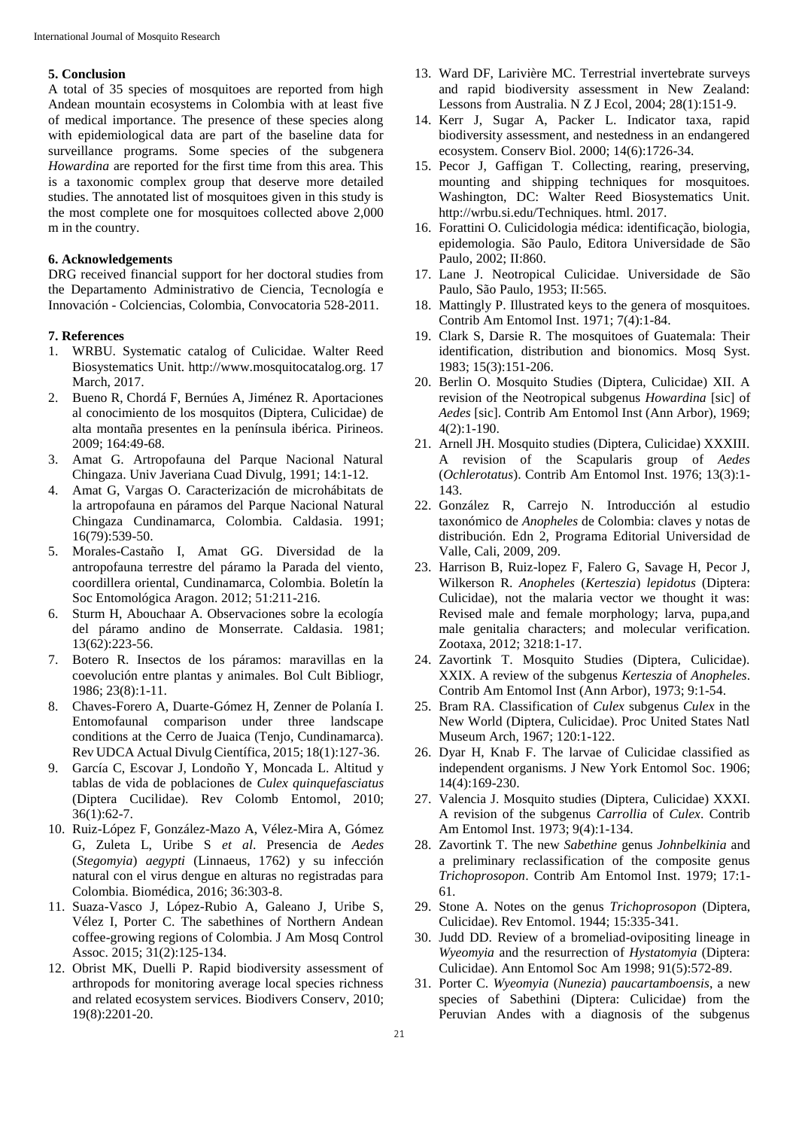## **5. Conclusion**

A total of 35 species of mosquitoes are reported from high Andean mountain ecosystems in Colombia with at least five of medical importance. The presence of these species along with epidemiological data are part of the baseline data for surveillance programs. Some species of the subgenera *Howardina* are reported for the first time from this area. This is a taxonomic complex group that deserve more detailed studies. The annotated list of mosquitoes given in this study is the most complete one for mosquitoes collected above 2,000 m in the country.

# **6. Acknowledgements**

DRG received financial support for her doctoral studies from the Departamento Administrativo de Ciencia, Tecnología e Innovación - Colciencias, Colombia, Convocatoria 528-2011.

## **7. References**

- 1. WRBU. Systematic catalog of Culicidae. Walter Reed Biosystematics Unit. http://www.mosquitocatalog.org. 17 March, 2017.
- 2. Bueno R, Chordá F, Bernúes A, Jiménez R. Aportaciones al conocimiento de los mosquitos (Diptera, Culicidae) de alta montaña presentes en la península ibérica. Pirineos. 2009; 164:49-68.
- 3. Amat G. Artropofauna del Parque Nacional Natural Chingaza. Univ Javeriana Cuad Divulg, 1991; 14:1-12.
- 4. Amat G, Vargas O. Caracterización de microhábitats de la artropofauna en páramos del Parque Nacional Natural Chingaza Cundinamarca, Colombia. Caldasia. 1991; 16(79):539-50.
- 5. Morales-Castaño I, Amat GG. Diversidad de la antropofauna terrestre del páramo la Parada del viento, coordillera oriental, Cundinamarca, Colombia. Boletín la Soc Entomológica Aragon. 2012; 51:211-216.
- 6. Sturm H, Abouchaar A. Observaciones sobre la ecología del páramo andino de Monserrate. Caldasia. 1981; 13(62):223-56.
- 7. Botero R. Insectos de los páramos: maravillas en la coevolución entre plantas y animales. Bol Cult Bibliogr, 1986; 23(8):1-11.
- 8. Chaves-Forero A, Duarte-Gómez H, Zenner de Polanía I. Entomofaunal comparison under three landscape conditions at the Cerro de Juaica (Tenjo, Cundinamarca). Rev UDCA Actual Divulg Científica, 2015; 18(1):127-36.
- 9. García C, Escovar J, Londoño Y, Moncada L. Altitud y tablas de vida de poblaciones de *Culex quinquefasciatus* (Diptera Cucilidae). Rev Colomb Entomol, 2010; 36(1):62-7.
- 10. Ruiz-López F, González-Mazo A, Vélez-Mira A, Gómez G, Zuleta L, Uribe S *et al*. Presencia de *Aedes* (*Stegomyia*) *aegypti* (Linnaeus, 1762) y su infección natural con el virus dengue en alturas no registradas para Colombia. Biomédica, 2016; 36:303-8.
- 11. Suaza-Vasco J, López-Rubio A, Galeano J, Uribe S, Vélez I, Porter C. The sabethines of Northern Andean coffee-growing regions of Colombia. J Am Mosq Control Assoc. 2015; 31(2):125-134.
- 12. Obrist MK, Duelli P. Rapid biodiversity assessment of arthropods for monitoring average local species richness and related ecosystem services. Biodivers Conserv, 2010; 19(8):2201-20.
- 13. Ward DF, Larivière MC. Terrestrial invertebrate surveys and rapid biodiversity assessment in New Zealand: Lessons from Australia. N Z J Ecol, 2004; 28(1):151-9.
- 14. Kerr J, Sugar A, Packer L. Indicator taxa, rapid biodiversity assessment, and nestedness in an endangered ecosystem. Conserv Biol. 2000; 14(6):1726-34.
- 15. Pecor J, Gaffigan T. Collecting, rearing, preserving, mounting and shipping techniques for mosquitoes. Washington, DC: Walter Reed Biosystematics Unit. http://wrbu.si.edu/Techniques. html. 2017.
- 16. Forattini O. Culicidologia médica: identificação, biologia, epidemologia. São Paulo, Editora Universidade de São Paulo, 2002; II:860.
- 17. Lane J. Neotropical Culicidae. Universidade de São Paulo, São Paulo, 1953; II:565.
- 18. Mattingly P. Illustrated keys to the genera of mosquitoes. Contrib Am Entomol Inst. 1971; 7(4):1-84.
- 19. Clark S, Darsie R. The mosquitoes of Guatemala: Their identification, distribution and bionomics. Mosq Syst. 1983; 15(3):151-206.
- 20. Berlin O. Mosquito Studies (Diptera, Culicidae) XII. A revision of the Neotropical subgenus *Howardina* [sic] of *Aedes* [sic]. Contrib Am Entomol Inst (Ann Arbor), 1969; 4(2):1-190.
- 21. Arnell JH. Mosquito studies (Diptera, Culicidae) XXXIII. A revision of the Scapularis group of *Aedes* (*Ochlerotatus*). Contrib Am Entomol Inst. 1976; 13(3):1- 143.
- 22. González R, Carrejo N. Introducción al estudio taxonómico de *Anopheles* de Colombia: claves y notas de distribución. Edn 2, Programa Editorial Universidad de Valle, Cali, 2009, 209.
- 23. Harrison B, Ruiz-lopez F, Falero G, Savage H, Pecor J, Wilkerson R. *Anopheles* (*Kerteszia*) *lepidotus* (Diptera: Culicidae), not the malaria vector we thought it was: Revised male and female morphology; larva, pupa,and male genitalia characters; and molecular verification. Zootaxa, 2012; 3218:1-17.
- 24. Zavortink T. Mosquito Studies (Diptera, Culicidae). XXIX. A review of the subgenus *Kerteszia* of *Anopheles*. Contrib Am Entomol Inst (Ann Arbor), 1973; 9:1-54.
- 25. Bram RA. Classification of *Culex* subgenus *Culex* in the New World (Diptera, Culicidae). Proc United States Natl Museum Arch, 1967; 120:1-122.
- 26. Dyar H, Knab F. The larvae of Culicidae classified as independent organisms. J New York Entomol Soc. 1906; 14(4):169-230.
- 27. Valencia J. Mosquito studies (Diptera, Culicidae) XXXI. A revision of the subgenus *Carrollia* of *Culex*. Contrib Am Entomol Inst. 1973; 9(4):1-134.
- 28. Zavortink T. The new *Sabethine* genus *Johnbelkinia* and a preliminary reclassification of the composite genus *Trichoprosopon*. Contrib Am Entomol Inst. 1979; 17:1- 61.
- 29. Stone A. Notes on the genus *Trichoprosopon* (Diptera, Culicidae). Rev Entomol. 1944; 15:335-341.
- 30. Judd DD. Review of a bromeliad-ovipositing lineage in *Wyeomyia* and the resurrection of *Hystatomyia* (Diptera: Culicidae). Ann Entomol Soc Am 1998; 91(5):572-89.
- 31. Porter C. *Wyeomyia* (*Nunezia*) *paucartamboensis*, a new species of Sabethini (Diptera: Culicidae) from the Peruvian Andes with a diagnosis of the subgenus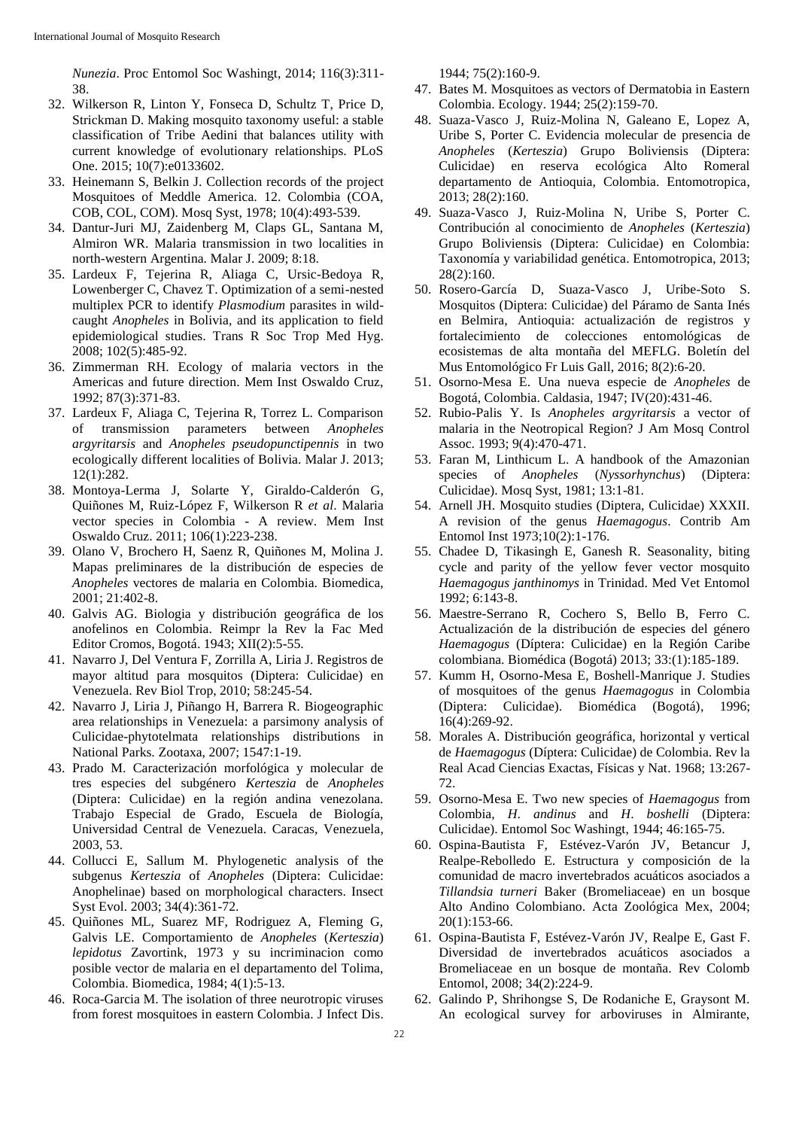*Nunezia*. Proc Entomol Soc Washingt, 2014; 116(3):311- 38.

- 32. Wilkerson R, Linton Y, Fonseca D, Schultz T, Price D, Strickman D. Making mosquito taxonomy useful: a stable classification of Tribe Aedini that balances utility with current knowledge of evolutionary relationships. PLoS One. 2015; 10(7):e0133602.
- 33. Heinemann S, Belkin J. Collection records of the project Mosquitoes of Meddle America. 12. Colombia (COA, COB, COL, COM). Mosq Syst, 1978; 10(4):493-539.
- 34. Dantur-Juri MJ, Zaidenberg M, Claps GL, Santana M, Almiron WR. Malaria transmission in two localities in north-western Argentina. Malar J. 2009; 8:18.
- 35. Lardeux F, Tejerina R, Aliaga C, Ursic-Bedoya R, Lowenberger C, Chavez T. Optimization of a semi-nested multiplex PCR to identify *Plasmodium* parasites in wildcaught *Anopheles* in Bolivia, and its application to field epidemiological studies. Trans R Soc Trop Med Hyg. 2008; 102(5):485-92.
- 36. Zimmerman RH. Ecology of malaria vectors in the Americas and future direction. Mem Inst Oswaldo Cruz, 1992; 87(3):371-83.
- 37. Lardeux F, Aliaga C, Tejerina R, Torrez L. Comparison of transmission parameters between *Anopheles argyritarsis* and *Anopheles pseudopunctipennis* in two ecologically different localities of Bolivia. Malar J. 2013; 12(1):282.
- 38. Montoya-Lerma J, Solarte Y, Giraldo-Calderón G, Quiñones M, Ruiz-López F, Wilkerson R *et al*. Malaria vector species in Colombia - A review. Mem Inst Oswaldo Cruz. 2011; 106(1):223-238.
- 39. Olano V, Brochero H, Saenz R, Quiñones M, Molina J. Mapas preliminares de la distribución de especies de *Anopheles* vectores de malaria en Colombia. Biomedica, 2001; 21:402-8.
- 40. Galvis AG. Biologia y distribución geográfica de los anofelinos en Colombia. Reimpr la Rev la Fac Med Editor Cromos, Bogotá. 1943; XII(2):5-55.
- 41. Navarro J, Del Ventura F, Zorrilla A, Liria J. Registros de mayor altitud para mosquitos (Diptera: Culicidae) en Venezuela. Rev Biol Trop, 2010; 58:245-54.
- 42. Navarro J, Liria J, Piñango H, Barrera R. Biogeographic area relationships in Venezuela: a parsimony analysis of Culicidae-phytotelmata relationships distributions in National Parks. Zootaxa, 2007; 1547:1-19.
- 43. Prado M. Caracterización morfológica y molecular de tres especies del subgénero *Kerteszia* de *Anopheles* (Diptera: Culicidae) en la región andina venezolana. Trabajo Especial de Grado, Escuela de Biología, Universidad Central de Venezuela. Caracas, Venezuela, 2003, 53.
- 44. Collucci E, Sallum M. Phylogenetic analysis of the subgenus *Kerteszia* of *Anopheles* (Diptera: Culicidae: Anophelinae) based on morphological characters. Insect Syst Evol. 2003; 34(4):361-72.
- 45. Quiñones ML, Suarez MF, Rodriguez A, Fleming G, Galvis LE. Comportamiento de *Anopheles* (*Kerteszia*) *lepidotus* Zavortink, 1973 y su incriminacion como posible vector de malaria en el departamento del Tolima, Colombia. Biomedica, 1984; 4(1):5-13.
- 46. Roca-Garcia M. The isolation of three neurotropic viruses from forest mosquitoes in eastern Colombia. J Infect Dis.

1944; 75(2):160-9.

- 47. Bates M. Mosquitoes as vectors of Dermatobia in Eastern Colombia. Ecology. 1944; 25(2):159-70.
- 48. Suaza-Vasco J, Ruiz-Molina N, Galeano E, Lopez A, Uribe S, Porter C. Evidencia molecular de presencia de *Anopheles* (*Kerteszia*) Grupo Boliviensis (Diptera: Culicidae) en reserva ecológica Alto Romeral departamento de Antioquia, Colombia. Entomotropica, 2013; 28(2):160.
- 49. Suaza-Vasco J, Ruiz-Molina N, Uribe S, Porter C. Contribución al conocimiento de *Anopheles* (*Kerteszia*) Grupo Boliviensis (Diptera: Culicidae) en Colombia: Taxonomía y variabilidad genética. Entomotropica, 2013; 28(2):160.
- 50. Rosero-García D, Suaza-Vasco J, Uribe-Soto S. Mosquitos (Diptera: Culicidae) del Páramo de Santa Inés en Belmira, Antioquia: actualización de registros y fortalecimiento de colecciones entomológicas de ecosistemas de alta montaña del MEFLG. Boletín del Mus Entomológico Fr Luis Gall, 2016; 8(2):6-20.
- 51. Osorno-Mesa E. Una nueva especie de *Anopheles* de Bogotá, Colombia. Caldasia, 1947; IV(20):431-46.
- 52. Rubio-Palis Y. Is *Anopheles argyritarsis* a vector of malaria in the Neotropical Region? J Am Mosq Control Assoc. 1993; 9(4):470-471.
- 53. Faran M, Linthicum L. A handbook of the Amazonian species of *Anopheles* (*Nyssorhynchus*) (Diptera: Culicidae). Mosq Syst, 1981; 13:1-81.
- 54. Arnell JH. Mosquito studies (Diptera, Culicidae) XXXII. A revision of the genus *Haemagogus*. Contrib Am Entomol Inst 1973;10(2):1-176.
- 55. Chadee D, Tikasingh E, Ganesh R. Seasonality, biting cycle and parity of the yellow fever vector mosquito *Haemagogus janthinomys* in Trinidad. Med Vet Entomol 1992; 6:143-8.
- 56. Maestre-Serrano R, Cochero S, Bello B, Ferro C. Actualización de la distribución de especies del género *Haemagogus* (Díptera: Culicidae) en la Región Caribe colombiana. Biomédica (Bogotá) 2013; 33:(1):185-189.
- 57. Kumm H, Osorno-Mesa E, Boshell-Manrique J. Studies of mosquitoes of the genus *Haemagogus* in Colombia (Diptera: Culicidae). Biomédica (Bogotá), 1996; 16(4):269-92.
- 58. Morales A. Distribución geográfica, horizontal y vertical de *Haemagogus* (Díptera: Culicidae) de Colombia. Rev la Real Acad Ciencias Exactas, Físicas y Nat. 1968; 13:267- 72.
- 59. Osorno-Mesa E. Two new species of *Haemagogus* from Colombia, *H*. *andinus* and *H*. *boshelli* (Diptera: Culicidae). Entomol Soc Washingt, 1944; 46:165-75.
- 60. Ospina-Bautista F, Estévez-Varón JV, Betancur J, Realpe-Rebolledo E. Estructura y composición de la comunidad de macro invertebrados acuáticos asociados a *Tillandsia turneri* Baker (Bromeliaceae) en un bosque Alto Andino Colombiano. Acta Zoológica Mex, 2004; 20(1):153-66.
- 61. Ospina-Bautista F, Estévez-Varón JV, Realpe E, Gast F. Diversidad de invertebrados acuáticos asociados a Bromeliaceae en un bosque de montaña. Rev Colomb Entomol, 2008; 34(2):224-9.
- 62. Galindo P, Shrihongse S, De Rodaniche E, Graysont M. An ecological survey for arboviruses in Almirante,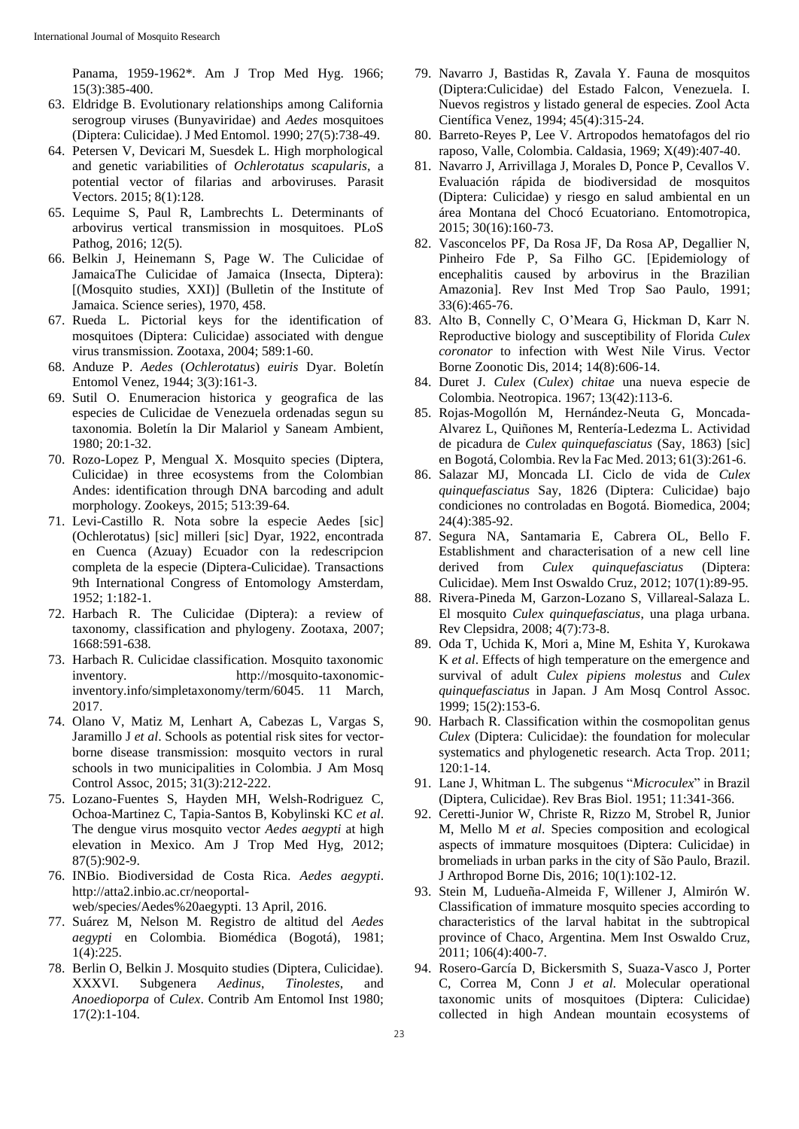Panama, 1959-1962\*. Am J Trop Med Hyg. 1966; 15(3):385-400.

- 63. Eldridge B. Evolutionary relationships among California serogroup viruses (Bunyaviridae) and *Aedes* mosquitoes (Diptera: Culicidae). J Med Entomol. 1990; 27(5):738-49.
- 64. Petersen V, Devicari M, Suesdek L. High morphological and genetic variabilities of *Ochlerotatus scapularis*, a potential vector of filarias and arboviruses. Parasit Vectors. 2015; 8(1):128.
- 65. Lequime S, Paul R, Lambrechts L. Determinants of arbovirus vertical transmission in mosquitoes. PLoS Pathog, 2016; 12(5).
- 66. Belkin J, Heinemann S, Page W. The Culicidae of JamaicaThe Culicidae of Jamaica (Insecta, Diptera): [(Mosquito studies, XXI)] (Bulletin of the Institute of Jamaica. Science series), 1970, 458.
- 67. Rueda L. Pictorial keys for the identification of mosquitoes (Diptera: Culicidae) associated with dengue virus transmission. Zootaxa, 2004; 589:1-60.
- 68. Anduze P. *Aedes* (*Ochlerotatus*) *euiris* Dyar. Boletín Entomol Venez, 1944; 3(3):161-3.
- 69. Sutil O. Enumeracion historica y geografica de las especies de Culicidae de Venezuela ordenadas segun su taxonomia. Boletín la Dir Malariol y Saneam Ambient, 1980; 20:1-32.
- 70. Rozo-Lopez P, Mengual X. Mosquito species (Diptera, Culicidae) in three ecosystems from the Colombian Andes: identification through DNA barcoding and adult morphology. Zookeys, 2015; 513:39-64.
- 71. Levi-Castillo R. Nota sobre la especie Aedes [sic] (Ochlerotatus) [sic] milleri [sic] Dyar, 1922, encontrada en Cuenca (Azuay) Ecuador con la redescripcion completa de la especie (Diptera-Culicidae). Transactions 9th International Congress of Entomology Amsterdam, 1952; 1:182-1.
- 72. Harbach R. The Culicidae (Diptera): a review of taxonomy, classification and phylogeny. Zootaxa, 2007; 1668:591-638.
- 73. Harbach R. Culicidae classification. Mosquito taxonomic inventory. http://mosquito-taxonomicinventory.info/simpletaxonomy/term/6045. 11 March, 2017.
- 74. Olano V, Matiz M, Lenhart A, Cabezas L, Vargas S, Jaramillo J *et al*. Schools as potential risk sites for vectorborne disease transmission: mosquito vectors in rural schools in two municipalities in Colombia. J Am Mosq Control Assoc, 2015; 31(3):212-222.
- 75. Lozano-Fuentes S, Hayden MH, Welsh-Rodriguez C, Ochoa-Martinez C, Tapia-Santos B, Kobylinski KC *et al*. The dengue virus mosquito vector *Aedes aegypti* at high elevation in Mexico. Am J Trop Med Hyg, 2012; 87(5):902-9.
- 76. INBio. Biodiversidad de Costa Rica. *Aedes aegypti*. http://atta2.inbio.ac.cr/neoportalweb/species/Aedes%20aegypti. 13 April, 2016.
- 77. Suárez M, Nelson M. Registro de altitud del *Aedes aegypti* en Colombia. Biomédica (Bogotá), 1981; 1(4):225.
- 78. Berlin O, Belkin J. Mosquito studies (Diptera, Culicidae). XXXVI. Subgenera *Aedinus*, *Tinolestes*, and *Anoedioporpa* of *Culex*. Contrib Am Entomol Inst 1980; 17(2):1-104.
- 79. Navarro J, Bastidas R, Zavala Y. Fauna de mosquitos (Diptera:Culicidae) del Estado Falcon, Venezuela. I. Nuevos registros y listado general de especies. Zool Acta Científica Venez, 1994; 45(4):315-24.
- 80. Barreto-Reyes P, Lee V. Artropodos hematofagos del rio raposo, Valle, Colombia. Caldasia, 1969; X(49):407-40.
- 81. Navarro J, Arrivillaga J, Morales D, Ponce P, Cevallos V. Evaluación rápida de biodiversidad de mosquitos (Diptera: Culicidae) y riesgo en salud ambiental en un área Montana del Chocó Ecuatoriano. Entomotropica, 2015; 30(16):160-73.
- 82. Vasconcelos PF, Da Rosa JF, Da Rosa AP, Degallier N, Pinheiro Fde P, Sa Filho GC. [Epidemiology of encephalitis caused by arbovirus in the Brazilian Amazonia]. Rev Inst Med Trop Sao Paulo, 1991; 33(6):465-76.
- 83. Alto B, Connelly C, O'Meara G, Hickman D, Karr N. Reproductive biology and susceptibility of Florida *Culex coronator* to infection with West Nile Virus. Vector Borne Zoonotic Dis, 2014; 14(8):606-14.
- 84. Duret J. *Culex* (*Culex*) *chitae* una nueva especie de Colombia. Neotropica. 1967; 13(42):113-6.
- 85. Rojas-Mogollón M, Hernández-Neuta G, Moncada-Alvarez L, Quiñones M, Rentería-Ledezma L. Actividad de picadura de *Culex quinquefasciatus* (Say, 1863) [sic] en Bogotá, Colombia. Rev la Fac Med. 2013; 61(3):261-6.
- 86. Salazar MJ, Moncada LI. Ciclo de vida de *Culex quinquefasciatus* Say, 1826 (Diptera: Culicidae) bajo condiciones no controladas en Bogotá. Biomedica, 2004; 24(4):385-92.
- 87. Segura NA, Santamaria E, Cabrera OL, Bello F. Establishment and characterisation of a new cell line derived from *Culex quinquefasciatus* (Diptera: Culicidae). Mem Inst Oswaldo Cruz, 2012; 107(1):89-95.
- 88. Rivera-Pineda M, Garzon-Lozano S, Villareal-Salaza L. El mosquito *Culex quinquefasciatus*, una plaga urbana. Rev Clepsidra, 2008; 4(7):73-8.
- 89. Oda T, Uchida K, Mori a, Mine M, Eshita Y, Kurokawa K *et al*. Effects of high temperature on the emergence and survival of adult *Culex pipiens molestus* and *Culex quinquefasciatus* in Japan. J Am Mosq Control Assoc. 1999; 15(2):153-6.
- 90. Harbach R. Classification within the cosmopolitan genus *Culex* (Diptera: Culicidae): the foundation for molecular systematics and phylogenetic research. Acta Trop. 2011; 120:1-14.
- 91. Lane J, Whitman L. The subgenus "*Microculex*" in Brazil (Diptera, Culicidae). Rev Bras Biol. 1951; 11:341-366.
- 92. Ceretti-Junior W, Christe R, Rizzo M, Strobel R, Junior M, Mello M *et al*. Species composition and ecological aspects of immature mosquitoes (Diptera: Culicidae) in bromeliads in urban parks in the city of São Paulo, Brazil. J Arthropod Borne Dis, 2016; 10(1):102-12.
- 93. Stein M, Ludueña-Almeida F, Willener J, Almirón W. Classification of immature mosquito species according to characteristics of the larval habitat in the subtropical province of Chaco, Argentina. Mem Inst Oswaldo Cruz, 2011; 106(4):400-7.
- 94. Rosero-García D, Bickersmith S, Suaza-Vasco J, Porter C, Correa M, Conn J *et al*. Molecular operational taxonomic units of mosquitoes (Diptera: Culicidae) collected in high Andean mountain ecosystems of